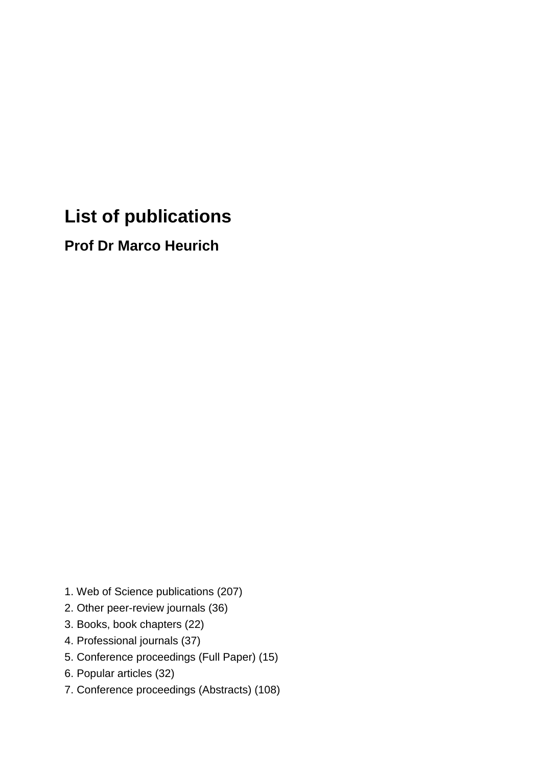# **List of publications**

**Prof Dr Marco Heurich**

- 1. Web of Science publications (207)
- 2. Other peer-review journals (36)
- 3. Books, book chapters (22)
- 4. Professional journals (37)
- 5. Conference proceedings (Full Paper) (15)
- 6. Popular articles (32)
- 7. Conference proceedings (Abstracts) (108)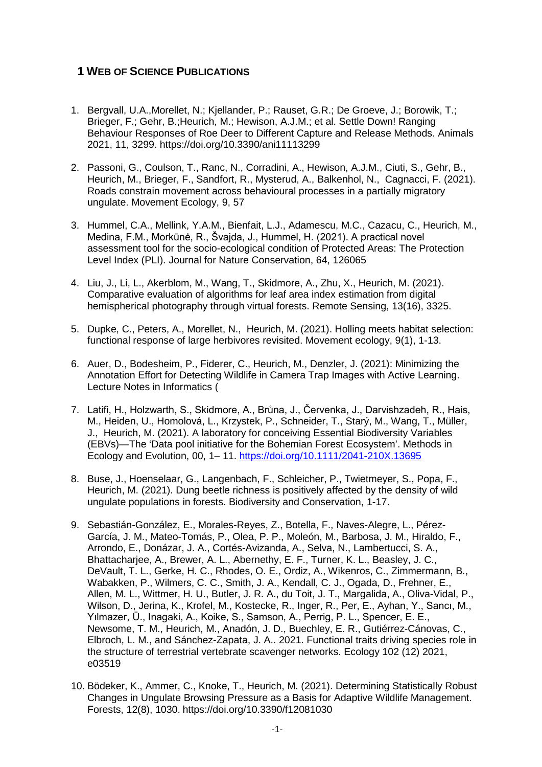# **1 WEB OF SCIENCE PUBLICATIONS**

- 1. Bergvall, U.A.,Morellet, N.; Kjellander, P.; Rauset, G.R.; De Groeve, J.; Borowik, T.; Brieger, F.; Gehr, B.;Heurich, M.; Hewison, A.J.M.; et al. Settle Down! Ranging Behaviour Responses of Roe Deer to Different Capture and Release Methods. Animals 2021, 11, 3299.<https://doi.org/10.3390/ani11113299>
- 2. Passoni, G., Coulson, T., Ranc, N., Corradini, A., Hewison, A.J.M., Ciuti, S., Gehr, B., Heurich, M., Brieger, F., Sandfort, R., Mysterud, A., Balkenhol, N., Cagnacci, F. (2021). Roads constrain movement across behavioural processes in a partially migratory ungulate. Movement Ecology, 9, 57
- 3. Hummel, C.A., Mellink, Y.A.M., Bienfait, L.J., Adamescu, M.C., Cazacu, C., Heurich, M., Medina, F.M., Morkūnė, R., Švajda, J., Hummel, H. (2021). A practical novel assessment tool for the socio-ecological condition of Protected Areas: The Protection Level Index (PLI). Journal for Nature Conservation, 64, 126065
- 4. Liu, J., Li, L., Akerblom, M., Wang, T., Skidmore, A., Zhu, X., Heurich, M. (2021). Comparative evaluation of algorithms for leaf area index estimation from digital hemispherical photography through virtual forests. Remote Sensing, 13(16), 3325.
- 5. Dupke, C., Peters, A., Morellet, N., Heurich, M. (2021). Holling meets habitat selection: functional response of large herbivores revisited. Movement ecology, 9(1), 1-13.
- 6. Auer, D., Bodesheim, P., Fiderer, C., Heurich, M., Denzler, J. (2021): Minimizing the Annotation Effort for Detecting Wildlife in Camera Trap Images with Active Learning. Lecture Notes in Informatics (
- 7. Latifi, H., Holzwarth, S., Skidmore, A., Brůna, J., Červenka, J., Darvishzadeh, R., Hais, M., Heiden, U., Homolová, L., Krzystek, P., Schneider, T., Starý, M., Wang, T., Müller, J., Heurich, M. (2021). A laboratory for conceiving Essential Biodiversity Variables (EBVs)—The 'Data pool initiative for the Bohemian Forest Ecosystem'. Methods in Ecology and Evolution, 00, 1– 11.<https://doi.org/10.1111/2041-210X.13695>
- 8. Buse, J., Hoenselaar, G., Langenbach, F., Schleicher, P., Twietmeyer, S., Popa, F., Heurich, M. (2021). Dung beetle richness is positively affected by the density of wild ungulate populations in forests. Biodiversity and Conservation, 1-17.
- 9. Sebastián-González, E., Morales-Reyes, Z., Botella, F., Naves-Alegre, L., Pérez-García, J. M., Mateo-Tomás, P., Olea, P. P., Moleón, M., Barbosa, J. M., Hiraldo, F., Arrondo, E., Donázar, J. A., Cortés-Avizanda, A., Selva, N., Lambertucci, S. A., Bhattacharjee, A., Brewer, A. L., Abernethy, E. F., Turner, K. L., Beasley, J. C., DeVault, T. L., Gerke, H. C., Rhodes, O. E., Ordiz, A., Wikenros, C., Zimmermann, B., Wabakken, P., Wilmers, C. C., Smith, J. A., Kendall, C. J., Ogada, D., Frehner, E., Allen, M. L., Wittmer, H. U., Butler, J. R. A., du Toit, J. T., Margalida, A., Oliva-Vidal, P., Wilson, D., Jerina, K., Krofel, M., Kostecke, R., Inger, R., Per, E., Ayhan, Y., Sancı, M., Yılmazer, Ü., Inagaki, A., Koike, S., Samson, A., Perrig, P. L., Spencer, E. E., Newsome, T. M., Heurich, M., Anadón, J. D., Buechley, E. R., Gutiérrez-Cánovas, C., Elbroch, L. M., and Sánchez-Zapata, J. A.. 2021. Functional traits driving species role in the structure of terrestrial vertebrate scavenger networks. Ecology 102 (12) 2021, e03519
- 10. Bödeker, K., Ammer, C., Knoke, T., Heurich, M. (2021). Determining Statistically Robust Changes in Ungulate Browsing Pressure as a Basis for Adaptive Wildlife Management. Forests, 12(8), 1030. https://doi.org/10.3390/f12081030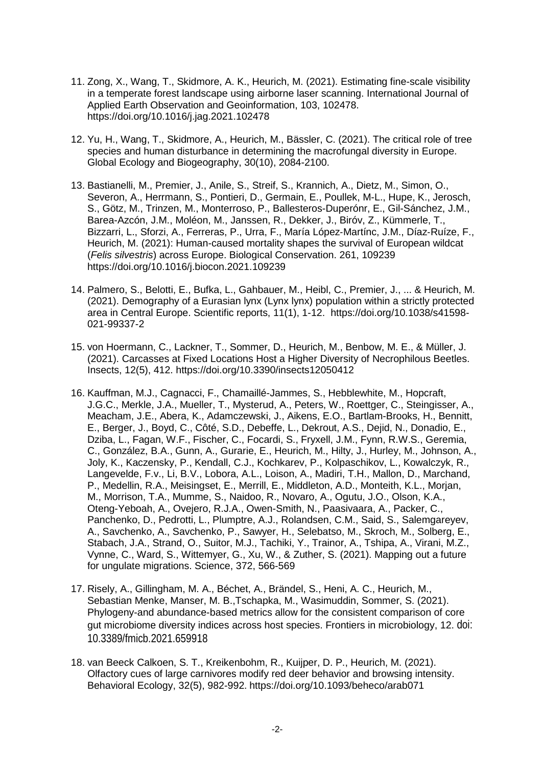- 11. Zong, X., Wang, T., Skidmore, A. K., Heurich, M. (2021). Estimating fine-scale visibility in a temperate forest landscape using airborne laser scanning. International Journal of Applied Earth Observation and Geoinformation, 103, 102478. https://doi.org/10.1016/j.jag.2021.102478
- 12. Yu, H., Wang, T., Skidmore, A., Heurich, M., Bässler, C. (2021). The critical role of tree species and human disturbance in determining the macrofungal diversity in Europe. Global Ecology and Biogeography, 30(10), 2084-2100.
- 13. Bastianelli, M., Premier, J., Anile, S., Streif, S., Krannich, A., Dietz, M., Simon, O., Severon, A., Herrmann, S., Pontieri, D., Germain, E., Poullek, M-L., Hupe, K., Jerosch, S., Götz, M., Trinzen, M., Monterroso, P., Ballesteros-Duperónr, E., Gil-Sánchez, J.M., Barea-Azcón, J.M., Moléon, M., Janssen, R., Dekker, J., Biróv, Z., Kümmerle, T., Bizzarri, L., Sforzi, A., Ferreras, P., Urra, F., María López‐Martínc, J.M., Díaz‐Ruíze, F., Heurich, M. (2021): Human-caused mortality shapes the survival of European wildcat (*Felis silvestris*) across Europe. Biological Conservation. 261, 109239 https://doi.org/10.1016/j.biocon.2021.109239
- 14. Palmero, S., Belotti, E., Bufka, L., Gahbauer, M., Heibl, C., Premier, J., ... & Heurich, M. (2021). Demography of a Eurasian lynx (Lynx lynx) population within a strictly protected area in Central Europe. Scientific reports, 11(1), 1-12. [https://doi.org/10.1038/s41598-](https://doi.org/10.1038/s41598-021-99337-2) [021-99337-2](https://doi.org/10.1038/s41598-021-99337-2)
- 15. von Hoermann, C., Lackner, T., Sommer, D., Heurich, M., Benbow, M. E., & Müller, J. (2021). Carcasses at Fixed Locations Host a Higher Diversity of Necrophilous Beetles. Insects, 12(5), 412. https://doi.org/10.3390/insects12050412
- 16. Kauffman, M.J., Cagnacci, F., Chamaillé-Jammes, S., Hebblewhite, M., Hopcraft, J.G.C., Merkle, J.A., Mueller, T., Mysterud, A., Peters, W., Roettger, C., Steingisser, A., Meacham, J.E., Abera, K., Adamczewski, J., Aikens, E.O., Bartlam-Brooks, H., Bennitt, E., Berger, J., Boyd, C., Côté, S.D., Debeffe, L., Dekrout, A.S., Dejid, N., Donadio, E., Dziba, L., Fagan, W.F., Fischer, C., Focardi, S., Fryxell, J.M., Fynn, R.W.S., Geremia, C., González, B.A., Gunn, A., Gurarie, E., Heurich, M., Hilty, J., Hurley, M., Johnson, A., Joly, K., Kaczensky, P., Kendall, C.J., Kochkarev, P., Kolpaschikov, L., Kowalczyk, R., Langevelde, F.v., Li, B.V., Lobora, A.L., Loison, A., Madiri, T.H., Mallon, D., Marchand, P., Medellin, R.A., Meisingset, E., Merrill, E., Middleton, A.D., Monteith, K.L., Morjan, M., Morrison, T.A., Mumme, S., Naidoo, R., Novaro, A., Ogutu, J.O., Olson, K.A., Oteng-Yeboah, A., Ovejero, R.J.A., Owen-Smith, N., Paasivaara, A., Packer, C., Panchenko, D., Pedrotti, L., Plumptre, A.J., Rolandsen, C.M., Said, S., Salemgareyev, A., Savchenko, A., Savchenko, P., Sawyer, H., Selebatso, M., Skroch, M., Solberg, E., Stabach, J.A., Strand, O., Suitor, M.J., Tachiki, Y., Trainor, A., Tshipa, A., Virani, M.Z., Vynne, C., Ward, S., Wittemyer, G., Xu, W., & Zuther, S. (2021). Mapping out a future for ungulate migrations. Science, 372, 566-569
- 17. Risely, A., Gillingham, M. A., Béchet, A., Brändel, S., Heni, A. C., Heurich, M., Sebastian Menke, Manser, M. B.,Tschapka, M., Wasimuddin, Sommer, S. (2021). Phylogeny-and abundance-based metrics allow for the consistent comparison of core gut microbiome diversity indices across host species. Frontiers in microbiology, 12. doi: 10.3389/fmicb.2021.659918
- 18. van Beeck Calkoen, S. T., Kreikenbohm, R., Kuijper, D. P., Heurich, M. (2021). Olfactory cues of large carnivores modify red deer behavior and browsing intensity. Behavioral Ecology, 32(5), 982-992. https://doi.org/10.1093/beheco/arab071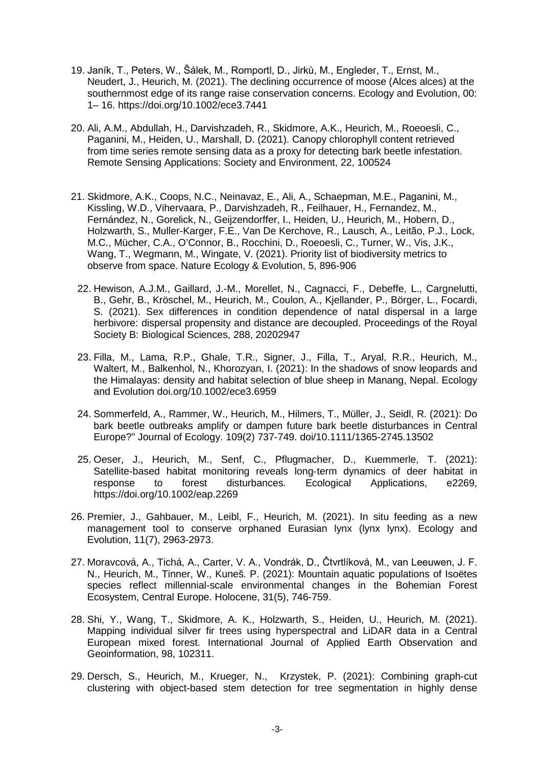- 19. Janík, T., Peters, W., Šálek, M., Romportl, D., Jirků, M., Engleder, T., Ernst, M., Neudert, J., Heurich, M. (2021). The declining occurrence of moose (Alces alces) at the southernmost edge of its range raise conservation concerns. Ecology and Evolution, 00: 1– 16. https://doi.org/10.1002/ece3.7441
- 20. Ali, A.M., Abdullah, H., Darvishzadeh, R., Skidmore, A.K., Heurich, M., Roeoesli, C., Paganini, M., Heiden, U., Marshall, D. (2021). Canopy chlorophyll content retrieved from time series remote sensing data as a proxy for detecting bark beetle infestation. Remote Sensing Applications: Society and Environment, 22, 100524
- 21. Skidmore, A.K., Coops, N.C., Neinavaz, E., Ali, A., Schaepman, M.E., Paganini, M., Kissling, W.D., Vihervaara, P., Darvishzadeh, R., Feilhauer, H., Fernandez, M., Fernández, N., Gorelick, N., Geijzendorffer, I., Heiden, U., Heurich, M., Hobern, D., Holzwarth, S., Muller-Karger, F.E., Van De Kerchove, R., Lausch, A., Leitão, P.J., Lock, M.C., Mücher, C.A., O'Connor, B., Rocchini, D., Roeoesli, C., Turner, W., Vis, J.K., Wang, T., Wegmann, M., Wingate, V. (2021). Priority list of biodiversity metrics to observe from space. Nature Ecology & Evolution, 5, 896-906
	- 22. Hewison, A.J.M., Gaillard, J.-M., Morellet, N., Cagnacci, F., Debeffe, L., Cargnelutti, B., Gehr, B., Kröschel, M., Heurich, M., Coulon, A., Kjellander, P., Börger, L., Focardi, S. (2021). Sex differences in condition dependence of natal dispersal in a large herbivore: dispersal propensity and distance are decoupled. Proceedings of the Royal Society B: Biological Sciences, 288, 20202947
	- 23. Filla, M., Lama, R.P., Ghale, T.R., Signer, J., Filla, T., Aryal, R.R., Heurich, M., Waltert, M., Balkenhol, N., Khorozyan, I. (2021): In the shadows of snow leopards and the Himalayas: density and habitat selection of blue sheep in Manang, Nepal. Ecology and Evolution doi.org/10.1002/ece3.6959
	- 24. Sommerfeld, A., Rammer, W., Heurich, M., Hilmers, T., Müller, J., Seidl, R. (2021): Do bark beetle outbreaks amplify or dampen future bark beetle disturbances in Central Europe?" Journal of Ecology. 109(2) 737-749. doi/10.1111/1365-2745.13502
	- 25. Oeser, J., Heurich, M., Senf, C., Pflugmacher, D., Kuemmerle, T. (2021): Satellite-based habitat monitoring reveals long-term dynamics of deer habitat in response to forest disturbances. Ecological Applications, e2269, disturbances. <https://doi.org/10.1002/eap.2269>
- 26. Premier, J., Gahbauer, M., Leibl, F., Heurich, M. (2021). In situ feeding as a new management tool to conserve orphaned Eurasian lynx (lynx lynx). Ecology and Evolution, 11(7), 2963-2973.
- 27. Moravcová, A., Tichá, A., Carter, V. A., Vondrák, D., Čtvrtlíková, M., van Leeuwen, J. F. N., Heurich, M., Tinner, W., Kuneš. P. (2021): Mountain aquatic populations of Isoëtes species reflect millennial-scale environmental changes in the Bohemian Forest Ecosystem, Central Europe. Holocene, 31(5), 746-759.
- 28. Shi, Y., Wang, T., Skidmore, A. K., Holzwarth, S., Heiden, U., Heurich, M. (2021). Mapping individual silver fir trees using hyperspectral and LiDAR data in a Central European mixed forest. International Journal of Applied Earth Observation and Geoinformation, 98, 102311.
- 29. Dersch, S., Heurich, M., Krueger, N., Krzystek, P. (2021): Combining graph-cut clustering with object-based stem detection for tree segmentation in highly dense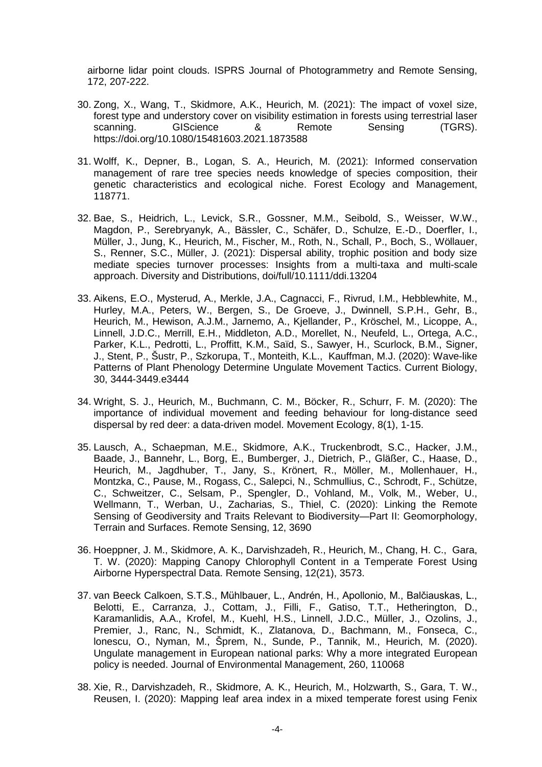airborne lidar point clouds. ISPRS Journal of Photogrammetry and Remote Sensing, 172, 207-222.

- 30. Zong, X., Wang, T., Skidmore, A.K., Heurich, M. (2021): The impact of voxel size, forest type and understory cover on visibility estimation in forests using terrestrial laser scanning. GIScience & Remote Sensing (TGRS). <https://doi.org/10.1080/15481603.2021.1873588>
- 31. Wolff, K., Depner, B., Logan, S. A., Heurich, M. (2021): Informed conservation management of rare tree species needs knowledge of species composition, their genetic characteristics and ecological niche. Forest Ecology and Management, 118771.
- 32. Bae, S., Heidrich, L., Levick, S.R., Gossner, M.M., Seibold, S., Weisser, W.W., Magdon, P., Serebryanyk, A., Bässler, C., Schäfer, D., Schulze, E.-D., Doerfler, I., Müller, J., Jung, K., Heurich, M., Fischer, M., Roth, N., Schall, P., Boch, S., Wöllauer, S., Renner, S.C., Müller, J. (2021): Dispersal ability, trophic position and body size mediate species turnover processes: Insights from a multi-taxa and multi-scale approach. Diversity and Distributions, doi/full/10.1111/ddi.13204
- 33. Aikens, E.O., Mysterud, A., Merkle, J.A., Cagnacci, F., Rivrud, I.M., Hebblewhite, M., Hurley, M.A., Peters, W., Bergen, S., De Groeve, J., Dwinnell, S.P.H., Gehr, B., Heurich, M., Hewison, A.J.M., Jarnemo, A., Kjellander, P., Kröschel, M., Licoppe, A., Linnell, J.D.C., Merrill, E.H., Middleton, A.D., Morellet, N., Neufeld, L., Ortega, A.C., Parker, K.L., Pedrotti, L., Proffitt, K.M., Saïd, S., Sawyer, H., Scurlock, B.M., Signer, J., Stent, P., Šustr, P., Szkorupa, T., Monteith, K.L., Kauffman, M.J. (2020): Wave-like Patterns of Plant Phenology Determine Ungulate Movement Tactics. Current Biology, 30, 3444-3449.e3444
- 34. Wright, S. J., Heurich, M., Buchmann, C. M., Böcker, R., Schurr, F. M. (2020): The importance of individual movement and feeding behaviour for long-distance seed dispersal by red deer: a data-driven model. Movement Ecology, 8(1), 1-15.
- 35. Lausch, A., Schaepman, M.E., Skidmore, A.K., Truckenbrodt, S.C., Hacker, J.M., Baade, J., Bannehr, L., Borg, E., Bumberger, J., Dietrich, P., Gläßer, C., Haase, D., Heurich, M., Jagdhuber, T., Jany, S., Krönert, R., Möller, M., Mollenhauer, H., Montzka, C., Pause, M., Rogass, C., Salepci, N., Schmullius, C., Schrodt, F., Schütze, C., Schweitzer, C., Selsam, P., Spengler, D., Vohland, M., Volk, M., Weber, U., Wellmann, T., Werban, U., Zacharias, S., Thiel, C. (2020): Linking the Remote Sensing of Geodiversity and Traits Relevant to Biodiversity—Part II: Geomorphology, Terrain and Surfaces. Remote Sensing, 12, 3690
- 36. Hoeppner, J. M., Skidmore, A. K., Darvishzadeh, R., Heurich, M., Chang, H. C., Gara, T. W. (2020): Mapping Canopy Chlorophyll Content in a Temperate Forest Using Airborne Hyperspectral Data. Remote Sensing, 12(21), 3573.
- 37. van Beeck Calkoen, S.T.S., Mühlbauer, L., Andrén, H., Apollonio, M., Balčiauskas, L., Belotti, E., Carranza, J., Cottam, J., Filli, F., Gatiso, T.T., Hetherington, D., Karamanlidis, A.A., Krofel, M., Kuehl, H.S., Linnell, J.D.C., Müller, J., Ozolins, J., Premier, J., Ranc, N., Schmidt, K., Zlatanova, D., Bachmann, M., Fonseca, C., lonescu, O., Nyman, M., Šprem, N., Sunde, P., Tannik, M., Heurich, M. (2020). Ungulate management in European national parks: Why a more integrated European policy is needed. Journal of Environmental Management, 260, 110068
- 38. Xie, R., Darvishzadeh, R., Skidmore, A. K., Heurich, M., Holzwarth, S., Gara, T. W., Reusen, I. (2020): Mapping leaf area index in a mixed temperate forest using Fenix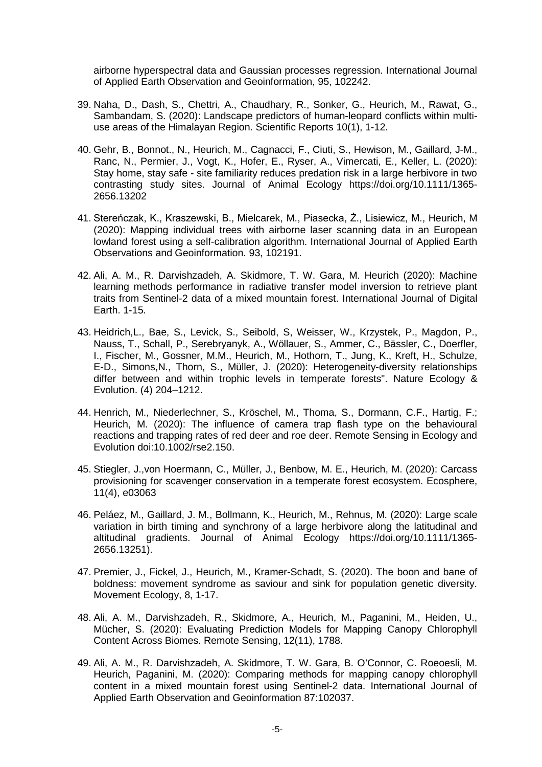airborne hyperspectral data and Gaussian processes regression. International Journal of Applied Earth Observation and Geoinformation, 95, 102242.

- 39. Naha, D., Dash, S., Chettri, A., Chaudhary, R., Sonker, G., Heurich, M., Rawat, G., Sambandam, S. (2020): Landscape predictors of human-leopard conflicts within multiuse areas of the Himalayan Region. Scientific Reports 10(1), 1-12.
- 40. Gehr, B., Bonnot., N., Heurich, M., Cagnacci, F., Ciuti, S., Hewison, M., Gaillard, J-M., Ranc, N., Permier, J., Vogt, K., Hofer, E., Ryser, A., Vimercati, E., Keller, L. (2020): Stay home, stay safe - site familiarity reduces predation risk in a large herbivore in two contrasting study sites. Journal of Animal Ecology [https://doi.org/10.1111/1365-](https://doi.org/10.1111/1365-2656.13202) [2656.13202](https://doi.org/10.1111/1365-2656.13202)
- 41. Stereńczak, K., Kraszewski, B., Mielcarek, M., Piasecka, Ż., Lisiewicz, M., Heurich, M (2020): Mapping individual trees with airborne laser scanning data in an European lowland forest using a self-calibration algorithm. International Journal of Applied Earth Observations and Geoinformation. 93, 102191.
- 42. Ali, A. M., R. Darvishzadeh, A. Skidmore, T. W. Gara, M. Heurich (2020): Machine learning methods performance in radiative transfer model inversion to retrieve plant traits from Sentinel-2 data of a mixed mountain forest. International Journal of Digital Earth. 1-15.
- 43. Heidrich,L., Bae, S., Levick, S., Seibold, S, Weisser, W., Krzystek, P., Magdon, P., Nauss, T., Schall, P., Serebryanyk, A., Wöllauer, S., Ammer, C., Bässler, C., Doerfler, I., Fischer, M., Gossner, M.M., Heurich, M., Hothorn, T., Jung, K., Kreft, H., Schulze, E-D., Simons,N., Thorn, S., Müller, J. (2020): Heterogeneity-diversity relationships differ between and within trophic levels in temperate forests". Nature Ecology & Evolution. (4) 204–1212.
- 44. Henrich, M., Niederlechner, S., Kröschel, M., Thoma, S., Dormann, C.F., Hartig, F.; Heurich, M. (2020): The influence of camera trap flash type on the behavioural reactions and trapping rates of red deer and roe deer. Remote Sensing in Ecology and Evolution doi:10.1002/rse2.150.
- 45. Stiegler, J.,von Hoermann, C., Müller, J., Benbow, M. E., Heurich, M. (2020): Carcass provisioning for scavenger conservation in a temperate forest ecosystem. Ecosphere, 11(4), e03063
- 46. Peláez, M., Gaillard, J. M., Bollmann, K., Heurich, M., Rehnus, M. (2020): Large scale variation in birth timing and synchrony of a large herbivore along the latitudinal and altitudinal gradients. Journal of Animal Ecology https://doi.org/10.1111/1365- 2656.13251).
- 47. Premier, J., Fickel, J., Heurich, M., Kramer-Schadt, S. (2020). The boon and bane of boldness: movement syndrome as saviour and sink for population genetic diversity. Movement Ecology, 8, 1-17.
- 48. Ali, A. M., Darvishzadeh, R., Skidmore, A., Heurich, M., Paganini, M., Heiden, U., Mücher, S. (2020): Evaluating Prediction Models for Mapping Canopy Chlorophyll Content Across Biomes. Remote Sensing, 12(11), 1788.
- 49. Ali, A. M., R. Darvishzadeh, A. Skidmore, T. W. Gara, B. O'Connor, C. Roeoesli, M. Heurich, Paganini, M. (2020): Comparing methods for mapping canopy chlorophyll content in a mixed mountain forest using Sentinel-2 data. International Journal of Applied Earth Observation and Geoinformation 87:102037.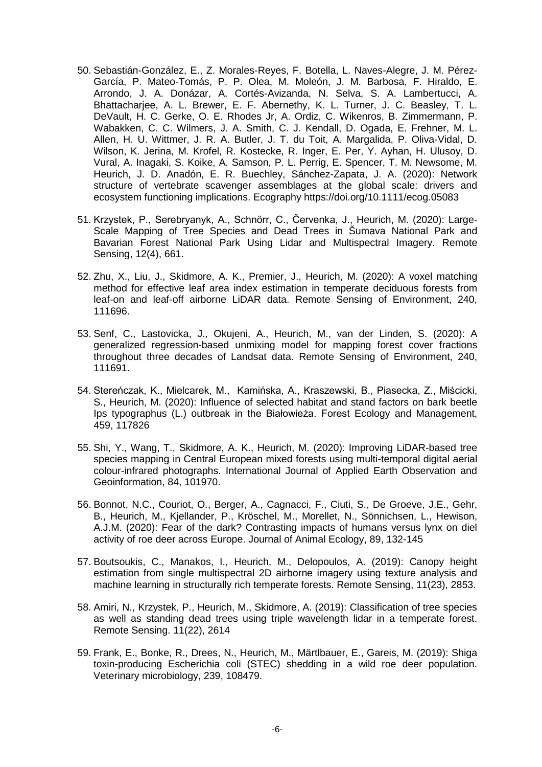- 50. Sebastián-González, E., Z. Morales-Reyes, F. Botella, L. Naves-Alegre, J. M. Pérez-García, P. Mateo-Tomás, P. P. Olea, M. Moleón, J. M. Barbosa, F. Hiraldo, E. Arrondo, J. A. Donázar, A. Cortés-Avizanda, N. Selva, S. A. Lambertucci, A. Bhattacharjee, A. L. Brewer, E. F. Abernethy, K. L. Turner, J. C. Beasley, T. L. DeVault, H. C. Gerke, O. E. Rhodes Jr, A. Ordiz, C. Wikenros, B. Zimmermann, P. Wabakken, C. C. Wilmers, J. A. Smith, C. J. Kendall, D. Ogada, E. Frehner, M. L. Allen, H. U. Wittmer, J. R. A. Butler, J. T. du Toit, A. Margalida, P. Oliva-Vidal, D. Wilson, K. Jerina, M. Krofel, R. Kostecke, R. Inger, E. Per, Y. Ayhan, H. Ulusoy, D. Vural, A. Inagaki, S. Koike, A. Samson, P. L. Perrig, E. Spencer, T. M. Newsome, M. Heurich, J. D. Anadón, E. R. Buechley, Sánchez-Zapata, J. A. (2020): Network structure of vertebrate scavenger assemblages at the global scale: drivers and ecosystem functioning implications. Ecography https://doi.org/10.1111/ecog.05083
- 51. Krzystek, P., Serebryanyk, A., Schnörr, C., Červenka, J., Heurich, M. (2020): Large-Scale Mapping of Tree Species and Dead Trees in Šumava National Park and Bavarian Forest National Park Using Lidar and Multispectral Imagery. Remote Sensing, 12(4), 661.
- 52. Zhu, X., Liu, J., Skidmore, A. K., Premier, J., Heurich, M. (2020): A voxel matching method for effective leaf area index estimation in temperate deciduous forests from leaf-on and leaf-off airborne LiDAR data. Remote Sensing of Environment, 240, 111696.
- 53. Senf, C., Lastovicka, J., Okujeni, A., Heurich, M., van der Linden, S. (2020): A generalized regression-based unmixing model for mapping forest cover fractions throughout three decades of Landsat data. Remote Sensing of Environment, 240, 111691.
- 54. Stereńczak, K., Mielcarek, M., Kamińska, A., Kraszewski, B., Piasecka, Z., Miścicki, S., Heurich, M. (2020): Influence of selected habitat and stand factors on bark beetle Ips typographus (L.) outbreak in the Białowieża. Forest Ecology and Management, 459, 117826
- 55. Shi, Y., Wang, T., Skidmore, A. K., Heurich, M. (2020): Improving LiDAR-based tree species mapping in Central European mixed forests using multi-temporal digital aerial colour-infrared photographs. International Journal of Applied Earth Observation and Geoinformation, 84, 101970.
- 56. Bonnot, N.C., Couriot, O., Berger, A., Cagnacci, F., Ciuti, S., De Groeve, J.E., Gehr, B., Heurich, M., Kjellander, P., Kröschel, M., Morellet, N., Sönnichsen, L., Hewison, A.J.M. (2020): Fear of the dark? Contrasting impacts of humans versus lynx on diel activity of roe deer across Europe. Journal of Animal Ecology, 89, 132-145
- 57. Boutsoukis, C., Manakos, I., Heurich, M., Delopoulos, A. (2019): Canopy height estimation from single multispectral 2D airborne imagery using texture analysis and machine learning in structurally rich temperate forests. Remote Sensing, 11(23), 2853.
- 58. Amiri, N., Krzystek, P., Heurich, M., Skidmore, A. (2019): Classification of tree species as well as standing dead trees using triple wavelength lidar in a temperate forest. Remote Sensing. 11(22), 2614
- 59. Frank, E., Bonke, R., Drees, N., Heurich, M., Märtlbauer, E., Gareis, M. (2019): Shiga toxin-producing Escherichia coli (STEC) shedding in a wild roe deer population. Veterinary microbiology, 239, 108479.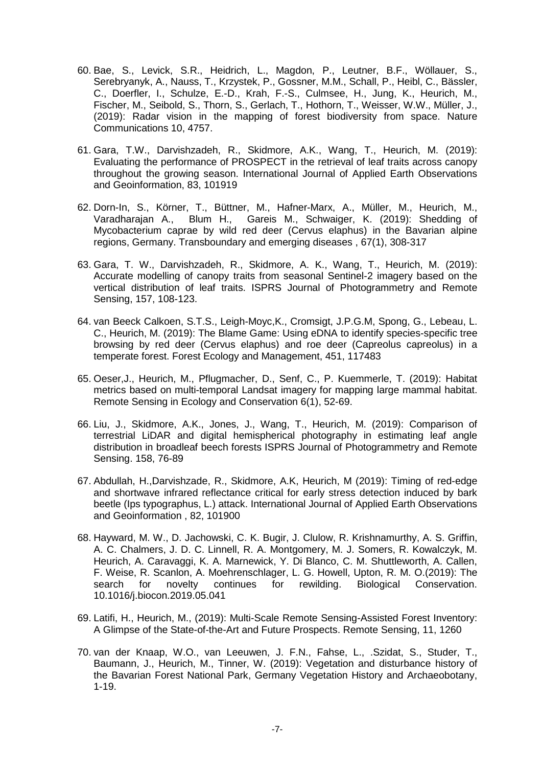- 60. Bae, S., Levick, S.R., Heidrich, L., Magdon, P., Leutner, B.F., Wöllauer, S., Serebryanyk, A., Nauss, T., Krzystek, P., Gossner, M.M., Schall, P., Heibl, C., Bässler, C., Doerfler, I., Schulze, E.-D., Krah, F.-S., Culmsee, H., Jung, K., Heurich, M., Fischer, M., Seibold, S., Thorn, S., Gerlach, T., Hothorn, T., Weisser, W.W., Müller, J., (2019): Radar vision in the mapping of forest biodiversity from space. Nature Communications 10, 4757.
- 61. Gara, T.W., Darvishzadeh, R., Skidmore, A.K., Wang, T., Heurich, M. (2019): Evaluating the performance of PROSPECT in the retrieval of leaf traits across canopy throughout the growing season. International Journal of Applied Earth Observations and Geoinformation, 83, 101919
- 62. Dorn-In, S., Körner, T., Büttner, M., Hafner-Marx, A., Müller, M., Heurich, M., Varadharajan A., Blum H., Gareis M., Schwaiger, K. (2019): Shedding of Varadharajan A., Blum H., Gareis M., Schwaiger, K. (2019): Shedding of Mycobacterium caprae by wild red deer (Cervus elaphus) in the Bavarian alpine regions, Germany. Transboundary and emerging diseases , 67(1), 308-317
- 63. Gara, T. W., Darvishzadeh, R., Skidmore, A. K., Wang, T., Heurich, M. (2019): Accurate modelling of canopy traits from seasonal Sentinel-2 imagery based on the vertical distribution of leaf traits. ISPRS Journal of Photogrammetry and Remote Sensing, 157, 108-123.
- 64. van Beeck Calkoen, S.T.S., Leigh-Moyc,K., Cromsigt, J.P.G.M, Spong, G., Lebeau, L. C., Heurich, M. (2019): The Blame Game: Using eDNA to identify species-specific tree browsing by red deer (Cervus elaphus) and roe deer (Capreolus capreolus) in a temperate forest. Forest Ecology and Management, 451, 117483
- 65. Oeser,J., Heurich, M., Pflugmacher, D., Senf, C., P. Kuemmerle, T. (2019): Habitat metrics based on multi-temporal Landsat imagery for mapping large mammal habitat. Remote Sensing in Ecology and Conservation 6(1), 52-69.
- 66. Liu, J., Skidmore, A.K., Jones, J., Wang, T., Heurich, M. (2019): Comparison of terrestrial LiDAR and digital hemispherical photography in estimating leaf angle distribution in broadleaf beech forests ISPRS Journal of Photogrammetry and Remote Sensing. 158, 76-89
- 67. Abdullah, H.,Darvishzade, R., Skidmore, A.K, Heurich, M (2019): Timing of red-edge and shortwave infrared reflectance critical for early stress detection induced by bark beetle (Ips typographus, L.) attack. International Journal of Applied Earth Observations and Geoinformation , 82, 101900
- 68. Hayward, M. W., D. Jachowski, C. K. Bugir, J. Clulow, R. Krishnamurthy, A. S. Griffin, A. C. Chalmers, J. D. C. Linnell, R. A. Montgomery, M. J. Somers, R. Kowalczyk, M. Heurich, A. Caravaggi, K. A. Marnewick, Y. Di Blanco, C. M. Shuttleworth, A. Callen, F. Weise, R. Scanlon, A. Moehrenschlager, L. G. Howell, Upton, R. M. O.(2019): The continues for rewilding. 10.1016/j.biocon.2019.05.041
- 69. Latifi, H., Heurich, M., (2019): Multi-Scale Remote Sensing-Assisted Forest Inventory: A Glimpse of the State-of-the-Art and Future Prospects. Remote Sensing, 11, 1260
- 70. van der Knaap, W.O., van Leeuwen, J. F.N., Fahse, L., .Szidat, S., Studer, T., Baumann, J., Heurich, M., Tinner, W. (2019): Vegetation and disturbance history of the Bavarian Forest National Park, Germany Vegetation History and Archaeobotany, 1-19.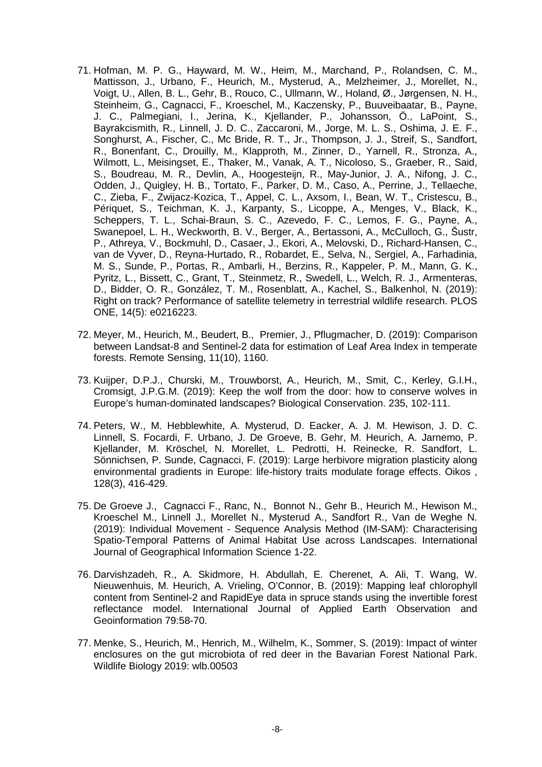- 71. Hofman, M. P. G., Hayward, M. W., Heim, M., Marchand, P., Rolandsen, C. M., Mattisson, J., Urbano, F., Heurich, M., Mysterud, A., Melzheimer, J., Morellet, N., Voigt, U., Allen, B. L., Gehr, B., Rouco, C., Ullmann, W., Holand, Ø., Jørgensen, N. H., Steinheim, G., Cagnacci, F., Kroeschel, M., Kaczensky, P., Buuveibaatar, B., Payne, J. C., Palmegiani, I., Jerina, K., Kjellander, P., Johansson, Ö., LaPoint, S., Bayrakcismith, R., Linnell, J. D. C., Zaccaroni, M., Jorge, M. L. S., Oshima, J. E. F., Songhurst, A., Fischer, C., Mc Bride, R. T., Jr., Thompson, J. J., Streif, S., Sandfort, R., Bonenfant, C., Drouilly, M., Klapproth, M., Zinner, D., Yarnell, R., Stronza, A., Wilmott, L., Meisingset, E., Thaker, M., Vanak, A. T., Nicoloso, S., Graeber, R., Said, S., Boudreau, M. R., Devlin, A., Hoogesteijn, R., May-Junior, J. A., Nifong, J. C., Odden, J., Quigley, H. B., Tortato, F., Parker, D. M., Caso, A., Perrine, J., Tellaeche, C., Zieba, F., Zwijacz-Kozica, T., Appel, C. L., Axsom, I., Bean, W. T., Cristescu, B., Périquet, S., Teichman, K. J., Karpanty, S., Licoppe, A., Menges, V., Black, K., Scheppers, T. L., Schai-Braun, S. C., Azevedo, F. C., Lemos, F. G., Payne, A., Swanepoel, L. H., Weckworth, B. V., Berger, A., Bertassoni, A., McCulloch, G., Šustr, P., Athreya, V., Bockmuhl, D., Casaer, J., Ekori, A., Melovski, D., Richard-Hansen, C., van de Vyver, D., Reyna-Hurtado, R., Robardet, E., Selva, N., Sergiel, A., Farhadinia, M. S., Sunde, P., Portas, R., Ambarli, H., Berzins, R., Kappeler, P. M., Mann, G. K., Pyritz, L., Bissett, C., Grant, T., Steinmetz, R., Swedell, L., Welch, R. J., Armenteras, D., Bidder, O. R., González, T. M., Rosenblatt, A., Kachel, S., Balkenhol, N. (2019): Right on track? Performance of satellite telemetry in terrestrial wildlife research. PLOS ONE, 14(5): e0216223.
- 72. Meyer, M., Heurich, M., Beudert, B., Premier, J., Pflugmacher, D. (2019): Comparison between Landsat-8 and Sentinel-2 data for estimation of Leaf Area Index in temperate forests. Remote Sensing, 11(10), 1160.
- 73. Kuijper, D.P.J., Churski, M., Trouwborst, A., Heurich, M., Smit, C., Kerley, G.I.H., Cromsigt, J.P.G.M. (2019): Keep the wolf from the door: how to conserve wolves in Europe's human-dominated landscapes? Biological Conservation. 235, 102-111.
- 74. Peters, W., M. Hebblewhite, A. Mysterud, D. Eacker, A. J. M. Hewison, J. D. C. Linnell, S. Focardi, F. Urbano, J. De Groeve, B. Gehr, M. Heurich, A. Jarnemo, P. Kjellander, M. Kröschel, N. Morellet, L. Pedrotti, H. Reinecke, R. Sandfort, L. Sönnichsen, P. Sunde, Cagnacci, F. (2019): Large herbivore migration plasticity along environmental gradients in Europe: life-history traits modulate forage effects. Oikos , 128(3), 416-429.
- 75. De Groeve J., Cagnacci F., Ranc, N., Bonnot N., Gehr B., Heurich M., Hewison M., Kroeschel M., Linnell J., Morellet N., Mysterud A., Sandfort R., Van de Weghe N. (2019): Individual Movement - Sequence Analysis Method (IM-SAM): Characterising Spatio-Temporal Patterns of Animal Habitat Use across Landscapes. International Journal of Geographical Information Science 1-22.
- 76. Darvishzadeh, R., A. Skidmore, H. Abdullah, E. Cherenet, A. Ali, T. Wang, W. Nieuwenhuis, M. Heurich, A. Vrieling, O'Connor, B. (2019): Mapping leaf chlorophyll content from Sentinel-2 and RapidEye data in spruce stands using the invertible forest reflectance model. International Journal of Applied Earth Observation and Geoinformation 79:58-70.
- 77. Menke, S., Heurich, M., Henrich, M., Wilhelm, K., Sommer, S. (2019): Impact of winter enclosures on the gut microbiota of red deer in the Bavarian Forest National Park. Wildlife Biology 2019: wlb.00503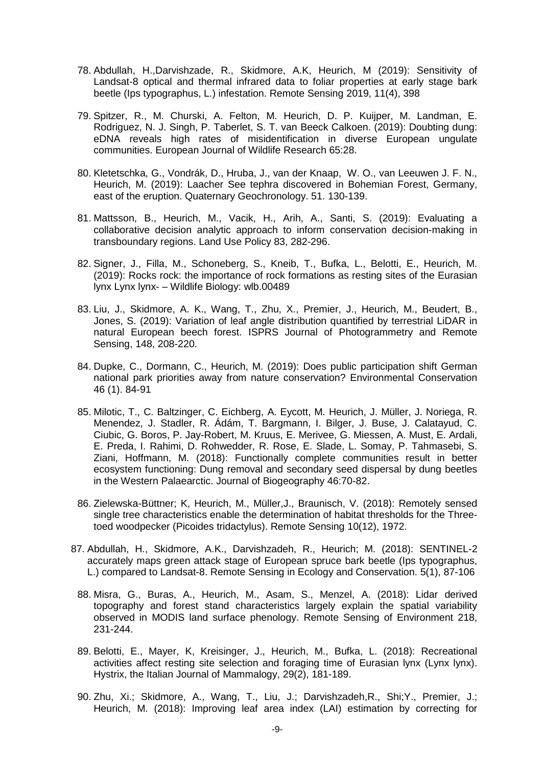- 78. Abdullah, H.,Darvishzade, R., Skidmore, A.K, Heurich, M (2019): Sensitivity of Landsat-8 optical and thermal infrared data to foliar properties at early stage bark beetle (Ips typographus, L.) infestation. Remote Sensing 2019, 11(4), 398
- 79. Spitzer, R., M. Churski, A. Felton, M. Heurich, D. P. Kuijper, M. Landman, E. Rodriguez, N. J. Singh, P. Taberlet, S. T. van Beeck Calkoen. (2019): Doubting dung: eDNA reveals high rates of misidentification in diverse European ungulate communities. European Journal of Wildlife Research 65:28.
- 80. Kletetschka, G., Vondrák, D., Hruba, J., van der Knaap, W. O., van Leeuwen J. F. N., Heurich, M. (2019): Laacher See tephra discovered in Bohemian Forest, Germany, east of the eruption. Quaternary Geochronology. 51. 130-139.
- 81. Mattsson, B., Heurich, M., Vacik, H., Arih, A., Santi, S. (2019): Evaluating a collaborative decision analytic approach to inform conservation decision-making in transboundary regions. Land Use Policy 83, 282-296.
- 82. Signer, J., Filla, M., Schoneberg, S., Kneib, T., Bufka, L., Belotti, E., Heurich, M. (2019): Rocks rock: the importance of rock formations as resting sites of the Eurasian lynx Lynx lynx- – Wildlife Biology: wlb.00489
- 83. Liu, J., Skidmore, A. K., Wang, T., Zhu, X., Premier, J., Heurich, M., Beudert, B., Jones, S. (2019): Variation of leaf angle distribution quantified by terrestrial LiDAR in natural European beech forest. ISPRS Journal of Photogrammetry and Remote Sensing, 148, 208-220.
- 84. Dupke, C., Dormann, C., Heurich, M. (2019): Does public participation shift German national park priorities away from nature conservation? Environmental Conservation 46 (1). 84-91
- 85. Milotic, T., C. Baltzinger, C. Eichberg, A. Eycott, M. Heurich, J. Müller, J. Noriega, R. Menendez, J. Stadler, R. Ádám, T. Bargmann, I. Bilger, J. Buse, J. Calatayud, C. Ciubic, G. Boros, P. Jay-Robert, M. Kruus, E. Merivee, G. Miessen, A. Must, E. Ardali, E. Preda, I. Rahimi, D. Rohwedder, R. Rose, E. Slade, L. Somay, P. Tahmasebi, S. Ziani, Hoffmann, M. (2018): Functionally complete communities result in better ecosystem functioning: Dung removal and secondary seed dispersal by dung beetles in the Western Palaearctic. Journal of Biogeography 46:70-82.
- 86. Zielewska-Büttner; K, Heurich, M., Müller,J., Braunisch, V. (2018): Remotely sensed single tree characteristics enable the determination of habitat thresholds for the Threetoed woodpecker (Picoides tridactylus). Remote Sensing 10(12), 1972.
- 87. Abdullah, H., Skidmore, A.K., Darvishzadeh, R., Heurich; M. (2018): SENTINEL-2 accurately maps green attack stage of European spruce bark beetle (Ips typographus, L.) compared to Landsat-8. Remote Sensing in Ecology and Conservation. 5(1), 87-106
	- 88. Misra, G., Buras, A., Heurich, M., Asam, S., Menzel, A. (2018): Lidar derived topography and forest stand characteristics largely explain the spatial variability observed in MODIS land surface phenology. Remote Sensing of Environment 218, 231-244.
	- 89. Belotti, E., Mayer, K, Kreisinger, J., Heurich, M., Bufka, L. (2018): Recreational activities affect resting site selection and foraging time of Eurasian lynx (Lynx lynx). Hystrix, the Italian Journal of Mammalogy, 29(2), 181-189.
	- 90. Zhu, Xi.; Skidmore, A., Wang, T., Liu, J.; Darvishzadeh,R., Shi;Y., Premier, J.; Heurich, M. (2018): Improving leaf area index (LAI) estimation by correcting for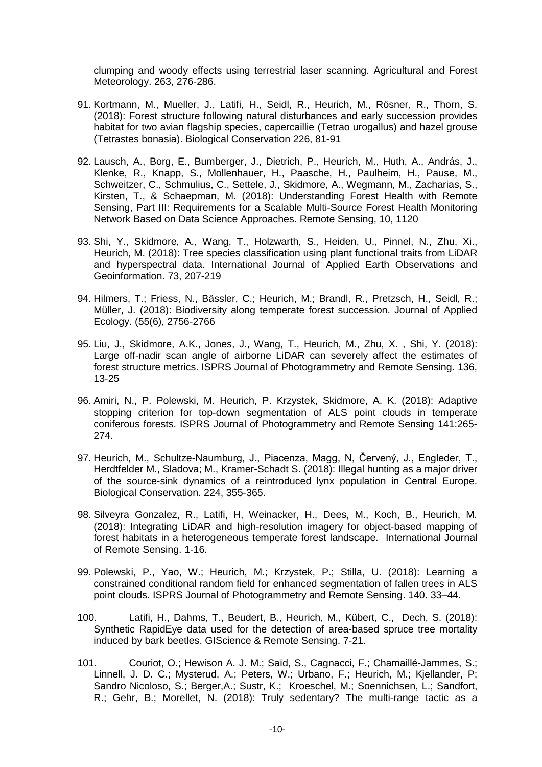clumping and woody effects using terrestrial laser scanning. Agricultural and Forest Meteorology. 263, 276-286.

- 91. Kortmann, M., Mueller, J., Latifi, H., Seidl, R., Heurich, M., Rösner, R., Thorn, S. (2018): Forest structure following natural disturbances and early succession provides habitat for two avian flagship species, capercaillie (Tetrao urogallus) and hazel grouse (Tetrastes bonasia). Biological Conservation 226, 81-91
- 92. Lausch, A., Borg, E., Bumberger, J., Dietrich, P., Heurich, M., Huth, A., András, J., Klenke, R., Knapp, S., Mollenhauer, H., Paasche, H., Paulheim, H., Pause, M., Schweitzer, C., Schmulius, C., Settele, J., Skidmore, A., Wegmann, M., Zacharias, S., Kirsten, T., & Schaepman, M. (2018): Understanding Forest Health with Remote Sensing, Part III: Requirements for a Scalable Multi-Source Forest Health Monitoring Network Based on Data Science Approaches. Remote Sensing, 10, 1120
- 93. Shi, Y., Skidmore, A., Wang, T., Holzwarth, S., Heiden, U., Pinnel, N., Zhu, Xi., Heurich, M. (2018): Tree species classification using plant functional traits from LiDAR and hyperspectral data. International Journal of Applied Earth Observations and Geoinformation. 73, 207-219
- 94. Hilmers, T.; Friess, N., Bässler, C.; Heurich, M.; Brandl, R., Pretzsch, H., Seidl, R.; Müller, J. (2018): Biodiversity along temperate forest succession. Journal of Applied Ecology. (55(6), 2756-2766
- 95. Liu, J., Skidmore, A.K., Jones, J., Wang, T., Heurich, M., Zhu, X. , Shi, Y. (2018): Large off-nadir scan angle of airborne LiDAR can severely affect the estimates of forest structure metrics. ISPRS Journal of Photogrammetry and Remote Sensing. 136, 13-25
- 96. Amiri, N., P. Polewski, M. Heurich, P. Krzystek, Skidmore, A. K. (2018): Adaptive stopping criterion for top-down segmentation of ALS point clouds in temperate coniferous forests. ISPRS Journal of Photogrammetry and Remote Sensing 141:265- 274.
- 97. Heurich, M., Schultze-Naumburg, J., Piacenza, Magg, N, Červený, J., Engleder, T., Herdtfelder M., Sladova; M., Kramer-Schadt S. (2018): Illegal hunting as a major driver of the source-sink dynamics of a reintroduced lynx population in Central Europe. Biological Conservation. 224, 355-365.
- 98. Silveyra Gonzalez, R., Latifi, H, Weinacker, H., Dees, M., Koch, B., Heurich, M. (2018): Integrating LiDAR and high-resolution imagery for object-based mapping of forest habitats in a heterogeneous temperate forest landscape. International Journal of Remote Sensing. 1-16.
- 99. Polewski, P., Yao, W.; Heurich, M.; Krzystek, P.; Stilla, U. (2018): Learning a constrained conditional random field for enhanced segmentation of fallen trees in ALS point clouds. ISPRS Journal of Photogrammetry and Remote Sensing. 140. 33–44.
- 100. Latifi, H., Dahms, T., Beudert, B., Heurich, M., Kübert, C., Dech, S. (2018): Synthetic RapidEye data used for the detection of area-based spruce tree mortality induced by bark beetles. GIScience & Remote Sensing. 7-21.
- 101. Couriot, O.; Hewison A. J. M.; Saïd, S., Cagnacci, F.; Chamaillé-Jammes, S.; Linnell, J. D. C.; Mysterud, A.; Peters, W.; Urbano, F.; Heurich, M.; Kjellander, P; Sandro Nicoloso, S.; Berger,A.; Sustr, K.; Kroeschel, M.; Soennichsen, L.; Sandfort, R.; Gehr, B.; Morellet, N. (2018): Truly sedentary? The multi-range tactic as a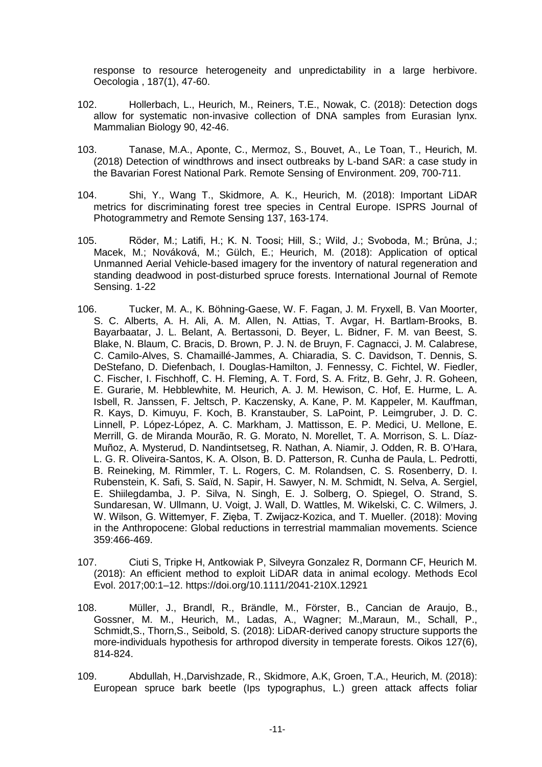response to resource heterogeneity and unpredictability in a large herbivore. Oecologia , 187(1), 47-60.

- 102. Hollerbach, L., Heurich, M., Reiners, T.E., Nowak, C. (2018): Detection dogs allow for systematic non-invasive collection of DNA samples from Eurasian lynx. Mammalian Biology 90, 42-46.
- 103. Tanase, M.A., Aponte, C., Mermoz, S., Bouvet, A., Le Toan, T., Heurich, M. (2018) Detection of windthrows and insect outbreaks by L-band SAR: a case study in the Bavarian Forest National Park. Remote Sensing of Environment. 209, 700-711.
- 104. Shi, Y., Wang T., Skidmore, A. K., Heurich, M. (2018): Important LiDAR metrics for discriminating forest tree species in Central Europe. ISPRS Journal of Photogrammetry and Remote Sensing 137, 163-174.
- 105. Röder, M.; Latifi, H.; K. N. Toosi; Hill, S.; Wild, J.; Svoboda, M.; Brůna, J.; Macek, M.; Nováková, M.; Gülch, E.; Heurich, M. (2018): Application of optical Unmanned Aerial Vehicle-based imagery for the inventory of natural regeneration and standing deadwood in post-disturbed spruce forests. International Journal of Remote Sensing. 1-22
- 106. Tucker, M. A., K. Böhning-Gaese, W. F. Fagan, J. M. Fryxell, B. Van Moorter, S. C. Alberts, A. H. Ali, A. M. Allen, N. Attias, T. Avgar, H. Bartlam-Brooks, B. Bayarbaatar, J. L. Belant, A. Bertassoni, D. Beyer, L. Bidner, F. M. van Beest, S. Blake, N. Blaum, C. Bracis, D. Brown, P. J. N. de Bruyn, F. Cagnacci, J. M. Calabrese, C. Camilo-Alves, S. Chamaillé-Jammes, A. Chiaradia, S. C. Davidson, T. Dennis, S. DeStefano, D. Diefenbach, I. Douglas-Hamilton, J. Fennessy, C. Fichtel, W. Fiedler, C. Fischer, I. Fischhoff, C. H. Fleming, A. T. Ford, S. A. Fritz, B. Gehr, J. R. Goheen, E. Gurarie, M. Hebblewhite, M. Heurich, A. J. M. Hewison, C. Hof, E. Hurme, L. A. Isbell, R. Janssen, F. Jeltsch, P. Kaczensky, A. Kane, P. M. Kappeler, M. Kauffman, R. Kays, D. Kimuyu, F. Koch, B. Kranstauber, S. LaPoint, P. Leimgruber, J. D. C. Linnell, P. López-López, A. C. Markham, J. Mattisson, E. P. Medici, U. Mellone, E. Merrill, G. de Miranda Mourão, R. G. Morato, N. Morellet, T. A. Morrison, S. L. Díaz-Muñoz, A. Mysterud, D. Nandintsetseg, R. Nathan, A. Niamir, J. Odden, R. B. O'Hara, L. G. R. Oliveira-Santos, K. A. Olson, B. D. Patterson, R. Cunha de Paula, L. Pedrotti, B. Reineking, M. Rimmler, T. L. Rogers, C. M. Rolandsen, C. S. Rosenberry, D. I. Rubenstein, K. Safi, S. Saïd, N. Sapir, H. Sawyer, N. M. Schmidt, N. Selva, A. Sergiel, E. Shiilegdamba, J. P. Silva, N. Singh, E. J. Solberg, O. Spiegel, O. Strand, S. Sundaresan, W. Ullmann, U. Voigt, J. Wall, D. Wattles, M. Wikelski, C. C. Wilmers, J. W. Wilson, G. Wittemyer, F. Zięba, T. Zwijacz-Kozica, and T. Mueller. (2018): Moving in the Anthropocene: Global reductions in terrestrial mammalian movements. Science 359:466-469.
- 107. Ciuti S, Tripke H, Antkowiak P, Silveyra Gonzalez R, Dormann CF, Heurich M. (2018): An efficient method to exploit LiDAR data in animal ecology. Methods Ecol Evol. 2017;00:1–12. https://doi.org/10.1111/2041-210X.12921
- 108. Müller, J., Brandl, R., Brändle, M., Förster, B., Cancian de Araujo, B., Gossner, M. M., Heurich, M., Ladas, A., Wagner; M.,Maraun, M., Schall, P., Schmidt,S., Thorn,S., Seibold, S. (2018): LiDAR-derived canopy structure supports the more-individuals hypothesis for arthropod diversity in temperate forests. Oikos 127(6), 814-824.
- 109. Abdullah, H.,Darvishzade, R., Skidmore, A.K, Groen, T.A., Heurich, M. (2018): European spruce bark beetle (Ips typographus, L.) green attack affects foliar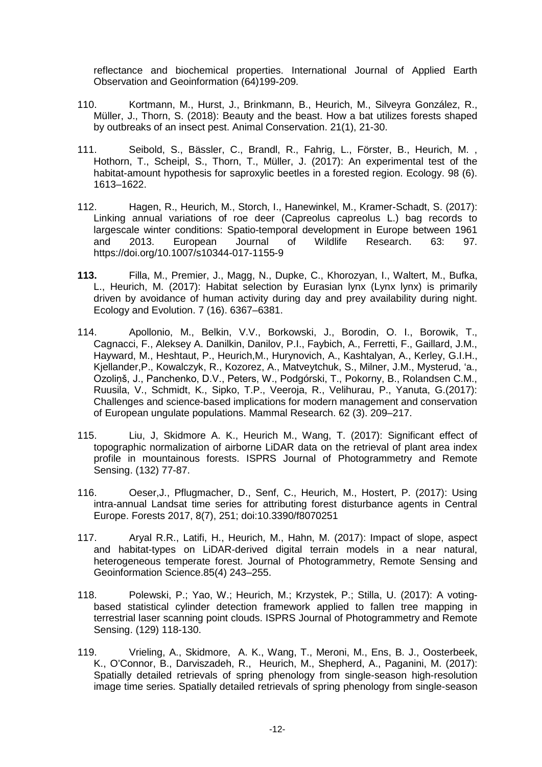reflectance and biochemical properties. International Journal of Applied Earth Observation and Geoinformation (64)199-209.

- 110. Kortmann, M., Hurst, J., Brinkmann, B., Heurich, M., Silveyra González, R., Müller, J., Thorn, S. (2018): Beauty and the beast. How a bat utilizes forests shaped by outbreaks of an insect pest. Animal Conservation. 21(1), 21-30.
- 111. Seibold, S., Bässler, C., Brandl, R., Fahrig, L., Förster, B., Heurich, M. , Hothorn, T., Scheipl, S., Thorn, T., Müller, J. (2017): An experimental test of the habitat-amount hypothesis for saproxylic beetles in a forested region. Ecology. 98 (6). 1613–1622.
- 112. Hagen, R., Heurich, M., Storch, I., Hanewinkel, M., Kramer-Schadt, S. (2017): Linking annual variations of roe deer (Capreolus capreolus L.) bag records to largescale winter conditions: Spatio-temporal development in Europe between 1961<br>and 2013. European Journal of Wildlife Research. 63: 97. and 2013. European Journal of Wildlife Research. 63: 97. https://doi.org/10.1007/s10344-017-1155-9
- **113.** Filla, M., Premier, J., Magg, N., Dupke, C., Khorozyan, I., Waltert, M., Bufka, L., Heurich, M. (2017): Habitat selection by Eurasian lynx (Lynx lynx) is primarily driven by avoidance of human activity during day and prey availability during night. Ecology and Evolution. 7 (16). 6367–6381.
- 114. Apollonio, M., Belkin, V.V., Borkowski, J., Borodin, O. I., Borowik, T., Cagnacci, F., Aleksey A. Danilkin, Danilov, P.I., Faybich, A., Ferretti, F., Gaillard, J.M., Hayward, M., Heshtaut, P., Heurich,M., Hurynovich, A., Kashtalyan, A., Kerley, G.I.H., Kjellander,P., Kowalczyk, R., Kozorez, A., Matveytchuk, S., Milner, J.M., Mysterud, 'a., Ozoliņš, J., Panchenko, D.V., Peters, W., Podgórski, T., Pokorny, B., Rolandsen C.M., Ruusila, V., Schmidt, K., Sipko, T.P., Veeroja, R., Velihurau, P., Yanuta, G.(2017): Challenges and science-based implications for modern management and conservation of European ungulate populations. Mammal Research. 62 (3). 209–217.
- 115. Liu, J, Skidmore A. K., Heurich M., Wang, T. (2017): Significant effect of topographic normalization of airborne LiDAR data on the retrieval of plant area index profile in mountainous forests. ISPRS Journal of Photogrammetry and Remote Sensing. (132) 77-87.
- 116. Oeser,J., Pflugmacher, D., Senf, C., Heurich, M., Hostert, P. (2017): Using intra-annual Landsat time series for attributing forest disturbance agents in Central Europe. Forests 2017, 8(7), 251; doi:10.3390/f8070251
- 117. Aryal R.R., Latifi, H., Heurich, M., Hahn, M. (2017): Impact of slope, aspect and habitat-types on LiDAR-derived digital terrain models in a near natural, heterogeneous temperate forest. Journal of Photogrammetry, Remote Sensing and Geoinformation Science.85(4) 243–255.
- 118. Polewski, P.; Yao, W.; Heurich, M.; Krzystek, P.; Stilla, U. (2017): A votingbased statistical cylinder detection framework applied to fallen tree mapping in terrestrial laser scanning point clouds. ISPRS Journal of Photogrammetry and Remote Sensing. (129) 118-130.
- 119. Vrieling, A., Skidmore, A. K., Wang, T., Meroni, M., Ens, B. J., Oosterbeek, K., O'Connor, B., Darviszadeh, R., Heurich, M., Shepherd, A., Paganini, M. (2017): Spatially detailed retrievals of spring phenology from single-season high-resolution image time series. Spatially detailed retrievals of spring phenology from single-season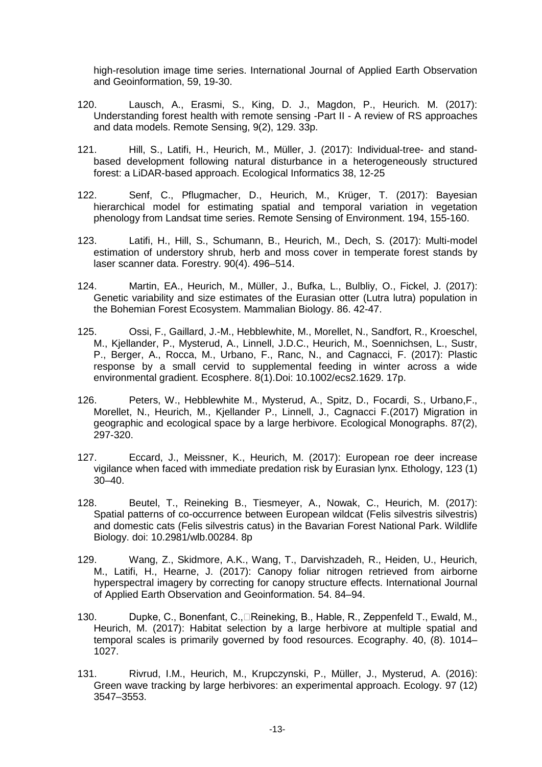high-resolution image time series. International Journal of Applied Earth Observation and Geoinformation, 59, 19-30.

- 120. Lausch, A., Erasmi, S., King, D. J., Magdon, P., Heurich. M. (2017): Understanding forest health with remote sensing -Part II - A review of RS approaches and data models. Remote Sensing, 9(2), 129. 33p.
- 121. Hill, S., Latifi, H., Heurich, M., Müller, J. (2017): Individual-tree- and standbased development following natural disturbance in a heterogeneously structured forest: a LiDAR-based approach. Ecological Informatics 38, 12-25
- 122. Senf, C., Pflugmacher, D., Heurich, M., Krüger, T. (2017): Bayesian hierarchical model for estimating spatial and temporal variation in vegetation phenology from Landsat time series. Remote Sensing of Environment. 194, 155-160.
- 123. Latifi, H., Hill, S., Schumann, B., Heurich, M., Dech, S. (2017): Multi-model estimation of understory shrub, herb and moss cover in temperate forest stands by laser scanner data. Forestry. 90(4). 496–514.
- 124. Martin, EA., Heurich, M., Müller, J., Bufka, L., Bulbliy, O., Fickel, J. (2017): Genetic variability and size estimates of the Eurasian otter (Lutra lutra) population in the Bohemian Forest Ecosystem. Mammalian Biology. 86. 42-47.
- 125. Ossi, F., Gaillard, J.-M., Hebblewhite, M., Morellet, N., Sandfort, R., Kroeschel, M., Kjellander, P., Mysterud, A., Linnell, J.D.C., Heurich, M., Soennichsen, L., Sustr, P., Berger, A., Rocca, M., Urbano, F., Ranc, N., and Cagnacci, F. (2017): Plastic response by a small cervid to supplemental feeding in winter across a wide environmental gradient. Ecosphere. 8(1).Doi: 10.1002/ecs2.1629. 17p.
- 126. Peters, W., Hebblewhite M., Mysterud, A., Spitz, D., Focardi, S., Urbano,F., Morellet, N., Heurich, M., Kjellander P., Linnell, J., Cagnacci F.(2017) Migration in geographic and ecological space by a large herbivore. Ecological Monographs. 87(2), 297-320.
- 127. Eccard, J., Meissner, K., Heurich, M. (2017): European roe deer increase vigilance when faced with immediate predation risk by Eurasian lynx. Ethology, 123 (1) 30–40.
- 128. Beutel, T., Reineking B., Tiesmeyer, A., Nowak, C., Heurich, M. (2017): Spatial patterns of co-occurrence between European wildcat (Felis silvestris silvestris) and domestic cats (Felis silvestris catus) in the Bavarian Forest National Park. Wildlife Biology. doi: 10.2981/wlb.00284. 8p
- 129. Wang, Z., Skidmore, A.K., Wang, T., Darvishzadeh, R., Heiden, U., Heurich, M., Latifi, H., Hearne, J. (2017): Canopy foliar nitrogen retrieved from airborne hyperspectral imagery by correcting for canopy structure effects. [International](http://www.sciencedirect.com/science/journal/03032434) Journal [of Applied Earth Observation and Geoinformation.](http://www.sciencedirect.com/science/journal/03032434) [54.](http://www.sciencedirect.com/science/journal/03032434/54/supp/C) 84–94.
- 130. Dupke, C., Bonenfant, C., Reineking, B., Hable, R., Zeppenfeld T., Ewald, M., Heurich, M. (2017): Habitat selection by a large herbivore at multiple spatial and temporal scales is primarily governed by food resources. Ecography. 40, (8). 1014– 1027.
- 131. Rivrud, I.M., Heurich, M., Krupczynski, P., Müller, J., Mysterud, A. (2016): Green wave tracking by large herbivores: an experimental approach. Ecology. 97 (12) 3547–3553.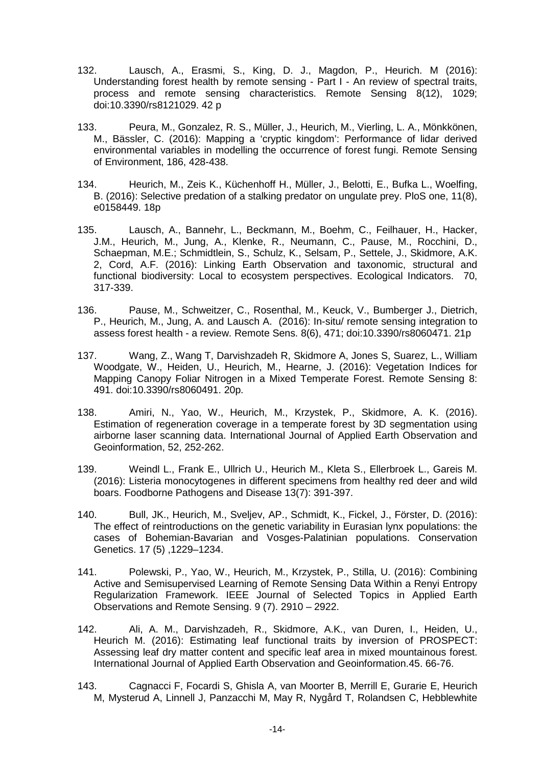- 132. Lausch, A., Erasmi, S., King, D. J., Magdon, P., Heurich. M (2016): Understanding forest health by remote sensing - Part I - An review of spectral traits, process and remote sensing characteristics. Remote Sensing 8(12), 1029; doi:10.3390/rs8121029. 42 p
- 133. Peura, M., Gonzalez, R. S., Müller, J., Heurich, M., Vierling, L. A., Mönkkönen, M., Bässler, C. (2016): Mapping a 'cryptic kingdom': Performance of lidar derived environmental variables in modelling the occurrence of forest fungi. Remote Sensing of Environment, 186, 428-438.
- 134. Heurich, M., Zeis K., Küchenhoff H., Müller, J., Belotti, E., Bufka L., Woelfing, B. (2016): Selective predation of a stalking predator on ungulate prey. PloS one, 11(8), e0158449. 18p
- 135. Lausch, A., Bannehr, L., Beckmann, M., Boehm, C., Feilhauer, H., Hacker, J.M., Heurich, M., Jung, A., Klenke, R., Neumann, C., Pause, M., Rocchini, D., Schaepman, M.E.; Schmidtlein, S., Schulz, K., Selsam, P., Settele, J., Skidmore, A.K. 2, Cord, A.F. (2016): Linking Earth Observation and taxonomic, structural and functional biodiversity: Local to ecosystem perspectives. Ecological Indicators. [70,](http://www.sciencedirect.com/science/journal/1470160X/70/supp/C) 317-339.
- 136. Pause, M., Schweitzer, C., Rosenthal, M., Keuck, V., Bumberger J., Dietrich, P., Heurich, M., Jung, A. and Lausch A. (2016): In-situ/ remote sensing integration to assess forest health - a review. Remote Sens. 8(6), 471; doi:10.3390/rs8060471. 21p
- 137. Wang, Z., Wang T, Darvishzadeh R, Skidmore A, Jones S, Suarez, L., William Woodgate, W., Heiden, U., Heurich, M., Hearne, J. (2016): Vegetation Indices for Mapping Canopy Foliar Nitrogen in a Mixed Temperate Forest. Remote Sensing 8: 491. doi:10.3390/rs8060491. 20p.
- 138. Amiri, N., Yao, W., Heurich, M., Krzystek, P., Skidmore, A. K. (2016). Estimation of regeneration coverage in a temperate forest by 3D segmentation using airborne laser scanning data. International Journal of Applied Earth Observation and Geoinformation, 52, 252-262.
- 139. Weindl L., Frank E., Ullrich U., Heurich M., Kleta S., Ellerbroek L., Gareis M. (2016): Listeria monocytogenes in different specimens from healthy red deer and wild boars. Foodborne Pathogens and Disease 13(7): 391-397.
- 140. Bull, JK., Heurich, M., Sveljev, AP., Schmidt, K., Fickel, J., Förster, D. (2016): The effect of reintroductions on the genetic variability in Eurasian lynx populations: the cases of Bohemian-Bavarian and Vosges-Palatinian populations. Conservation Genetics. 17 (5) ,1229–1234.
- 141. Polewski, P., Yao, W., Heurich, M., Krzystek, P., Stilla, U. (2016): Combining Active and Semisupervised Learning of Remote Sensing Data Within a Renyi Entropy Regularization Framework. IEEE Journal of Selected Topics in Applied Earth Observations and Remote Sensing. 9 (7). 2910 – 2922.
- 142. Ali, A. M., Darvishzadeh, R., Skidmore, A.K., van Duren, I., Heiden, U., Heurich M. (2016): Estimating leaf functional traits by inversion of PROSPECT: Assessing leaf dry matter content and specific leaf area in mixed mountainous forest. International Journal of Applied Earth Observation and Geoinformation.45. 66-76.
- 143. Cagnacci F, Focardi S, Ghisla A, van Moorter B, Merrill E, Gurarie E, Heurich M, Mysterud A, Linnell J, Panzacchi M, May R, Nygård T, Rolandsen C, Hebblewhite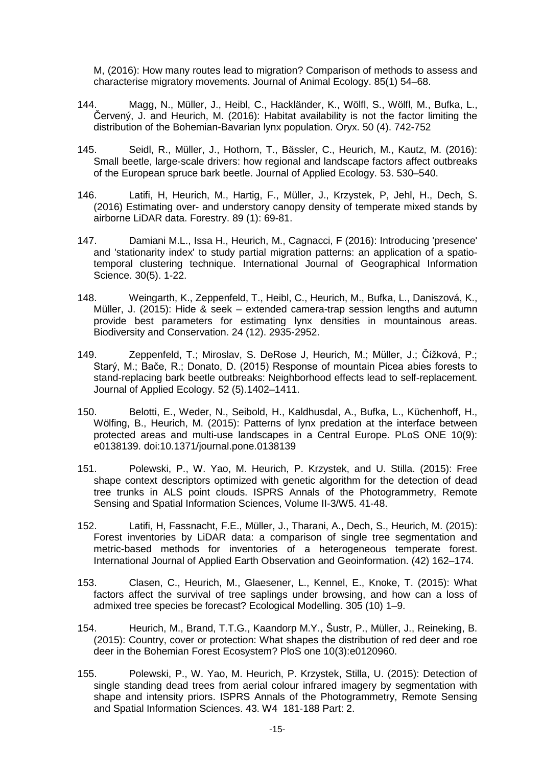M, (2016): How many routes lead to migration? Comparison of methods to assess and characterise migratory movements. Journal of Animal Ecology. 85(1) 54–68.

- 144. Magg, N., Müller, J., Heibl, C., Hackländer, K., Wölfl, S., Wölfl, M., Bufka, L., Červený, J. and Heurich, M. (2016): Habitat availability is not the factor limiting the distribution of the Bohemian-Bavarian lynx population. Oryx. 50 (4). 742-752
- 145. Seidl, R., Müller, J., Hothorn, T., Bässler, C., Heurich, M., Kautz, M. (2016): Small beetle, large-scale drivers: how regional and landscape factors affect outbreaks of the European spruce bark beetle. Journal of Applied Ecology. 53. 530–540.
- 146. Latifi, H, Heurich, M., Hartig, F., Müller, J., Krzystek, P, Jehl, H., Dech, S. (2016) Estimating over- and understory canopy density of temperate mixed stands by airborne LiDAR data. Forestry. 89 (1): 69-81.
- 147. Damiani M.L., Issa H., Heurich, M., Cagnacci, F (2016): Introducing 'presence' and 'stationarity index' to study partial migration patterns: an application of a spatiotemporal clustering technique. International Journal of Geographical Information Science. 30(5). 1-22.
- 148. Weingarth, K., Zeppenfeld, T., Heibl, C., Heurich, M., Bufka, L., Daniszová, K., Müller, J. (2015): Hide & seek – extended camera-trap session lengths and autumn provide best parameters for estimating lynx densities in mountainous areas. Biodiversity and Conservation. 24 (12). 2935-2952.
- 149. Zeppenfeld, T.; Miroslav, S. DeRose J, Heurich, M.; Müller, J.; Čížková, P.; Starý, M.; Bače, R.; Donato, D. (2015) Response of mountain Picea abies forests to stand-replacing bark beetle outbreaks: Neighborhood effects lead to self-replacement. Journal of Applied Ecology. 52 (5).1402–1411.
- 150. Belotti, E., Weder, N., Seibold, H., Kaldhusdal, A., Bufka, L., Küchenhoff, H., Wölfing, B., Heurich, M. (2015): Patterns of lynx predation at the interface between protected areas and multi-use landscapes in a Central Europe. PLoS ONE 10(9): e0138139. doi:10.1371/journal.pone.0138139
- 151. Polewski, P., W. Yao, M. Heurich, P. Krzystek, and U. Stilla. (2015): Free shape context descriptors optimized with genetic algorithm for the detection of dead tree trunks in ALS point clouds. ISPRS Annals of the Photogrammetry, Remote Sensing and Spatial Information Sciences, Volume II-3/W5. 41-48.
- 152. Latifi, H, Fassnacht, F.E., Müller, J., Tharani, A., Dech, S., Heurich, M. (2015): Forest inventories by LiDAR data: a comparison of single tree segmentation and metric-based methods for inventories of a heterogeneous temperate forest. International Journal of Applied Earth Observation and Geoinformation. (42) 162–174.
- 153. Clasen, C., Heurich, M., Glaesener, L., Kennel, E., Knoke, T. (2015): What factors affect the survival of tree saplings under browsing, and how can a loss of admixed tree species be forecast? Ecological Modelling. 305 (10) 1–9.
- 154. Heurich, M., Brand, T.T.G., Kaandorp M.Y., Šustr, P., Müller, J., Reineking, B. (2015): Country, cover or protection: What shapes the distribution of red deer and roe deer in the Bohemian Forest Ecosystem? PloS one 10(3):e0120960.
- 155. Polewski, P., W. Yao, M. Heurich, P. Krzystek, Stilla, U. (2015): Detection of single standing dead trees from aerial colour infrared imagery by segmentation with shape and intensity priors. ISPRS Annals of the Photogrammetry, Remote Sensing and Spatial Information Sciences. 43. W4 181-188 Part: 2.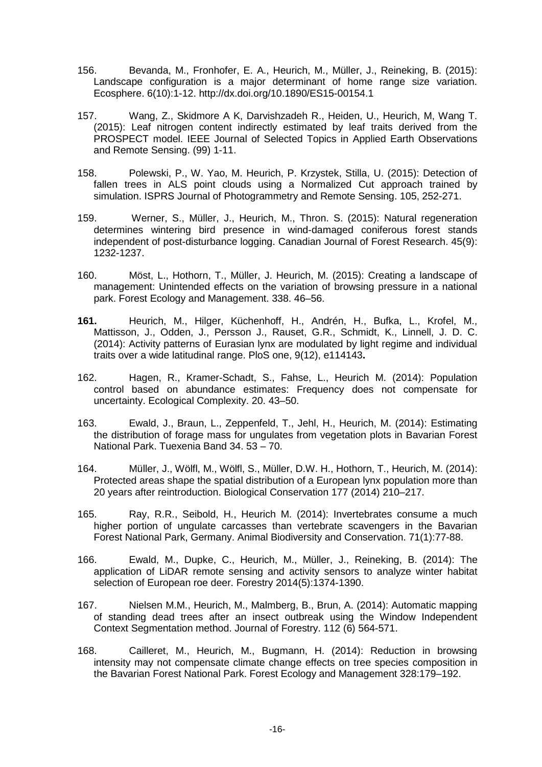- 156. Bevanda, M., Fronhofer, E. A., Heurich, M., Müller, J., Reineking, B. (2015): Landscape configuration is a major determinant of home range size variation. Ecosphere. 6(10):1-12. http://dx.doi.org/10.1890/ES15-00154.1
- 157. Wang, Z., Skidmore A K, Darvishzadeh R., Heiden, U., Heurich, M, Wang T. (2015): Leaf nitrogen content indirectly estimated by leaf traits derived from the PROSPECT model. IEEE Journal of Selected Topics in Applied Earth Observations and Remote Sensing. (99) 1-11.
- 158. Polewski, P., W. Yao, M. Heurich, P. Krzystek, Stilla, U. (2015): Detection of fallen trees in ALS point clouds using a Normalized Cut approach trained by simulation. ISPRS Journal of Photogrammetry and Remote Sensing. 105, 252-271.
- 159. Werner, S., Müller, J., Heurich, M., Thron. S. (2015): Natural regeneration determines wintering bird presence in wind-damaged coniferous forest stands independent of post-disturbance logging. Canadian Journal of Forest Research. 45(9): 1232-1237.
- 160. Möst, L., Hothorn, T., Müller, J. Heurich, M. (2015): Creating a landscape of management: Unintended effects on the variation of browsing pressure in a national park. Forest Ecology and Management. 338. 46–56.
- **161.** Heurich, M., Hilger, Küchenhoff, H., Andrén, H., Bufka, L., Krofel, M., Mattisson, J., Odden, J., Persson J., Rauset, G.R., Schmidt, K., Linnell, J. D. C. (2014): Activity patterns of Eurasian lynx are modulated by light regime and individual traits over a wide latitudinal range. PloS one, 9(12), e114143**.**
- 162. Hagen, R., Kramer-Schadt, S., Fahse, L., Heurich M. (2014): Population control based on abundance estimates: Frequency does not compensate for uncertainty. Ecological Complexity. 20. 43–50.
- 163. Ewald, J., Braun, L., Zeppenfeld, T., Jehl, H., Heurich, M. (2014): Estimating the distribution of forage mass for ungulates from vegetation plots in Bavarian Forest National Park. Tuexenia Band 34. 53 – 70.
- 164. Müller, J., Wölfl, M., Wölfl, S., Müller, D.W. H., Hothorn, T., Heurich, M. (2014): Protected areas shape the spatial distribution of a European lynx population more than 20 years after reintroduction. Biological Conservation 177 (2014) 210–217.
- 165. Ray, R.R., Seibold, H., Heurich M. (2014): Invertebrates consume a much higher portion of ungulate carcasses than vertebrate scavengers in the Bavarian Forest National Park, Germany. Animal Biodiversity and Conservation. 71(1):77-88.
- 166. Ewald, M., Dupke, C., Heurich, M., Müller, J., Reineking, B. (2014): The application of LiDAR remote sensing and activity sensors to analyze winter habitat selection of European roe deer. Forestry 2014(5):1374-1390.
- 167. Nielsen M.M., Heurich, M., Malmberg, B., Brun, A. (2014): Automatic mapping of standing dead trees after an insect outbreak using the Window Independent Context Segmentation method. Journal of Forestry. 112 (6) 564-571.
- 168. Cailleret, M., Heurich, M., Bugmann, H. (2014): Reduction in browsing intensity may not compensate climate change effects on tree species composition in the Bavarian Forest National Park. Forest Ecology and Management 328:179–192.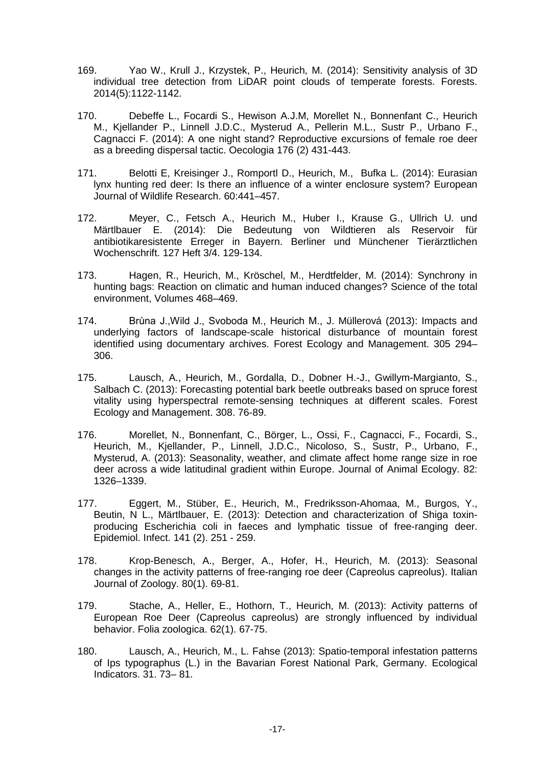- 169. Yao W., Krull J., Krzystek, P., Heurich, M. (2014): Sensitivity analysis of 3D individual tree detection from LiDAR point clouds of temperate forests. Forests. 2014(5):1122-1142.
- 170. Debeffe L., Focardi S., Hewison A.J.M, Morellet N., Bonnenfant C., Heurich M., Kjellander P., Linnell J.D.C., Mysterud A., Pellerin M.L., Sustr P., Urbano F., Cagnacci F. (2014): A one night stand? Reproductive excursions of female roe deer as a breeding dispersal tactic. Oecologia 176 (2) 431-443.
- 171. Belotti E, Kreisinger J., Romportl D., Heurich, M., Bufka L. (2014): Eurasian lynx hunting red deer: Is there an influence of a winter enclosure system? European Journal of Wildlife Research. 60:441–457.
- 172. Meyer, C., Fetsch A., Heurich M., Huber I., Krause G., Ullrich U. und Märtlbauer E. (2014): Die Bedeutung von Wildtieren als Reservoir für antibiotikaresistente Erreger in Bayern. Berliner und Münchener Tierärztlichen Wochenschrift. 127 Heft 3/4. 129-134.
- 173. Hagen, R., Heurich, M., Kröschel, M., Herdtfelder, M. (2014): Synchrony in hunting bags: Reaction on climatic and human induced changes? Science of the total environment, Volumes 468–469.
- 174. Brůna J.,Wild J., Svoboda M., Heurich M., J. Müllerová (2013): Impacts and underlying factors of landscape-scale historical disturbance of mountain forest identified using documentary archives. Forest Ecology and Management. 305 294– 306.
- 175. Lausch, A., Heurich, M., Gordalla, D., Dobner H.-J., Gwillym-Margianto, S., Salbach C. (2013): Forecasting potential bark beetle outbreaks based on spruce forest vitality using hyperspectral remote-sensing techniques at different scales. Forest Ecology and Management. 308. 76-89.
- 176. Morellet, N., Bonnenfant, C., Börger, L., Ossi, F., Cagnacci, F., Focardi, S., Heurich, M., Kjellander, P., Linnell, J.D.C., Nicoloso, S., Sustr, P., Urbano, F., Mysterud, A. (2013): Seasonality, weather, and climate affect home range size in roe deer across a wide latitudinal gradient within Europe. Journal of Animal Ecology. 82: 1326–1339.
- 177. Eggert, M., Stüber, E., Heurich, M., Fredriksson-Ahomaa, M., Burgos, Y., Beutin, N L., Märtlbauer, E. (2013): Detection and characterization of Shiga toxinproducing Escherichia coli in faeces and lymphatic tissue of free-ranging deer. Epidemiol. Infect. 141 (2). 251 - 259.
- 178. Krop-Benesch, A., Berger, A., Hofer, H., Heurich, M. (2013): Seasonal changes in the activity patterns of free-ranging roe deer (Capreolus capreolus). Italian Journal of Zoology. 80(1). 69-81.
- 179. Stache, A., Heller, E., Hothorn, T., Heurich, M. (2013): Activity patterns of European Roe Deer (Capreolus capreolus) are strongly influenced by individual behavior. Folia zoologica. 62(1). 67-75.
- 180. Lausch, A., Heurich, M., L. Fahse (2013): Spatio-temporal infestation patterns of Ips typographus (L.) in the Bavarian Forest National Park, Germany. Ecological Indicators. 31. 73– 81.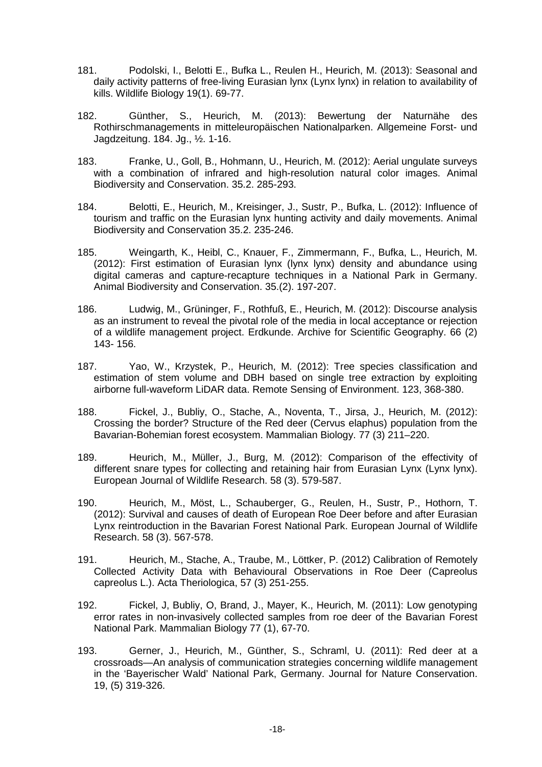- 181. Podolski, I., Belotti E., Bufka L., Reulen H., Heurich, M. (2013): Seasonal and daily activity patterns of free-living Eurasian lynx (Lynx lynx) in relation to availability of kills. Wildlife Biology 19(1). 69-77.
- 182. Günther, S., Heurich, M. (2013): Bewertung der Naturnähe des Rothirschmanagements in mitteleuropäischen Nationalparken. Allgemeine Forst- und Jagdzeitung. 184. Jg., ½. 1-16.
- 183. Franke, U., Goll, B., Hohmann, U., Heurich, M. (2012): Aerial ungulate surveys with a combination of infrared and high-resolution natural color images. Animal Biodiversity and Conservation. 35.2. 285-293.
- 184. Belotti, E., Heurich, M., Kreisinger, J., Sustr, P., Bufka, L. (2012): Influence of tourism and traffic on the Eurasian lynx hunting activity and daily movements. Animal Biodiversity and Conservation 35.2. 235-246.
- 185. Weingarth, K., Heibl, C., Knauer, F., Zimmermann, F., Bufka, L., Heurich, M. (2012): First estimation of Eurasian lynx (lynx lynx) density and abundance using digital cameras and capture-recapture techniques in a National Park in Germany. Animal Biodiversity and Conservation. 35.(2). 197-207.
- 186. Ludwig, M., Grüninger, F., Rothfuß, E., Heurich, M. (2012): Discourse analysis as an instrument to reveal the pivotal role of the media in local acceptance or rejection of a wildlife management project. Erdkunde. Archive for Scientific Geography. 66 (2) 143- 156.
- 187. Yao, W., Krzystek, P., Heurich, M. (2012): Tree species classification and estimation of stem volume and DBH based on single tree extraction by exploiting airborne full-waveform LiDAR data. Remote Sensing of Environment. 123, 368-380.
- 188. Fickel, J., Bubliy, O., Stache, A., Noventa, T., Jirsa, J., Heurich, M. (2012): Crossing the border? Structure of the Red deer (Cervus elaphus) population from the Bavarian-Bohemian forest ecosystem. Mammalian Biology. 77 (3) 211–220.
- 189. Heurich, M., Müller, J., Burg, M. (2012): Comparison of the effectivity of different snare types for collecting and retaining hair from Eurasian Lynx (Lynx lynx). European Journal of Wildlife Research. [58 \(3\)](http://www.springerlink.com/content/1612-4642/58/3/). 579-587.
- 190. Heurich, M., Möst, L., Schauberger, G., Reulen, H., Sustr, P., Hothorn, T. (2012): Survival and causes of death of European Roe Deer before and after Eurasian Lynx reintroduction in the Bavarian Forest National Park. European Journal of Wildlife Research. [58 \(3\)](http://www.springerlink.com/content/1612-4642/58/3/). 567-578.
- 191. Heurich, M., Stache, A., Traube, M., Löttker, P. (2012) Calibration of Remotely Collected Activity Data with Behavioural Observations in Roe Deer (Capreolus capreolus L.). Acta Theriologica, 57 (3) 251-255.
- 192. Fickel, J, Bubliy, O, Brand, J., Mayer, K., Heurich, M. (2011): Low genotyping error rates in non-invasively collected samples from roe deer of the Bavarian Forest National Park. Mammalian Biology 77 (1), 67-70.
- 193. Gerner, J., Heurich, M., Günther, S., Schraml, U. (2011): [Red deer at a](http://www.sciencedirect.com/science/article/pii/S1617138111000367?_alid=1853731765&_rdoc=1&_fmt=high&_origin=search&_docanchor=&_ct=1&_zone=rslt_list_item&md5=6ef145813f578c164e8e3698732903a9)  [crossroads—An analysis of communication strategies concerning wildlife management](http://www.sciencedirect.com/science/article/pii/S1617138111000367?_alid=1853731765&_rdoc=1&_fmt=high&_origin=search&_docanchor=&_ct=1&_zone=rslt_list_item&md5=6ef145813f578c164e8e3698732903a9)  [in the 'Bayerischer Wald' National Park, Germany.](http://www.sciencedirect.com/science/article/pii/S1617138111000367?_alid=1853731765&_rdoc=1&_fmt=high&_origin=search&_docanchor=&_ct=1&_zone=rslt_list_item&md5=6ef145813f578c164e8e3698732903a9) Journal for Nature Conservation. 19, (5) 319-326.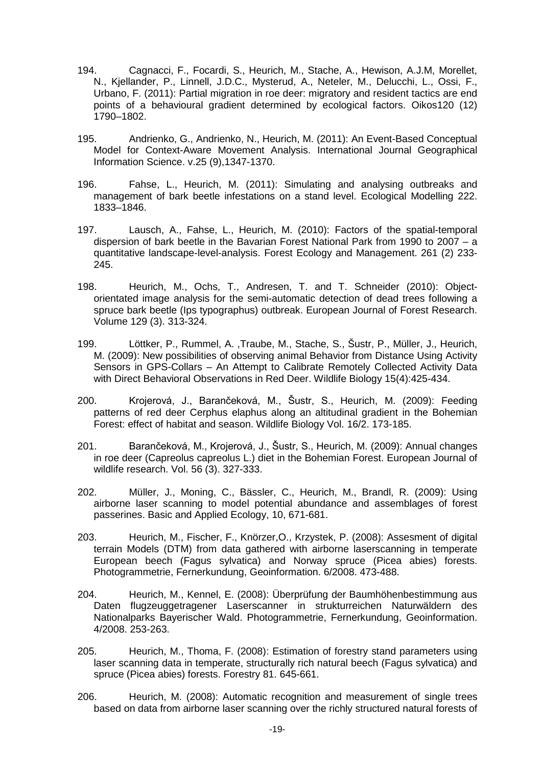- 194. Cagnacci, F., Focardi, S., Heurich, M., Stache, A., Hewison, A.J.M, Morellet, N., Kjellander, P., Linnell, J.D.C., Mysterud, A., Neteler, M., Delucchi, L., Ossi, F., Urbano, F. (2011): [Partial migration in roe deer: migratory and resident tactics are end](http://onlinelibrary.wiley.com/doi/10.1111/j.1600-0706.2011.19441.x/abstract)  [points of a behavioural gradient determined by ecological factors.](http://onlinelibrary.wiley.com/doi/10.1111/j.1600-0706.2011.19441.x/abstract) Oikos120 (12) 1790–1802.
- 195. Andrienko, G., Andrienko, N., Heurich, M. (2011): An Event-Based Conceptual Model for Context-Aware Movement Analysis. International Journal Geographical Information Science. v.25 (9),1347-1370.
- 196. Fahse, L., Heurich, M. (2011): Simulating and analysing outbreaks and management of bark beetle infestations on a stand level. Ecological Modelling 222. 1833–1846.
- 197. Lausch, A., Fahse, L., Heurich, M. (2010): Factors of the spatial-temporal dispersion of bark beetle in the Bavarian Forest National Park from 1990 to 2007 – a quantitative landscape-level-analysis. Forest Ecology and Management. 261 (2) 233- 245.
- 198. Heurich, M., Ochs, T., Andresen, T. and T. Schneider (2010): Objectorientated image analysis for the semi-automatic detection of dead trees following a spruce bark beetle (Ips typographus) outbreak. European Journal of Forest Research. [Volume 129 \(3\)](http://www.springerlink.com/content/m2802m187672/?p=939c5eeb060c4f2a928ed16dbaac8e16&pi=0). 313-324.
- 199. Löttker, P., Rummel, A. ,Traube, M., Stache, S., Šustr, P., Müller, J., Heurich, M. (2009): New possibilities of observing animal Behavior from Distance Using Activity Sensors in GPS-Collars – An Attempt to Calibrate Remotely Collected Activity Data with Direct Behavioral Observations in Red Deer. Wildlife Biology 15(4):425-434.
- 200. Krojerová, J., Barančeková, M., Šustr, S., Heurich, M. (2009): Feeding patterns of red deer Cerphus elaphus along an altitudinal gradient in the Bohemian Forest: effect of habitat and season. Wildlife Biology Vol. 16/2. 173-185.
- 201. Barančeková, M., Krojerová, J., Šustr, S., Heurich, M. (2009): Annual changes in roe deer (Capreolus capreolus L.) diet in the Bohemian Forest. European Journal of wildlife research. Vol. 56 (3). 327-333.
- 202. Müller, J., Moning, C., Bässler, C., Heurich, M., Brandl, R. (2009): Using airborne laser scanning to model potential abundance and assemblages of forest passerines. Basic and Applied Ecology, 10, 671-681.
- 203. Heurich, M., Fischer, F., Knörzer,O., Krzystek, P. (2008): Assesment of digital terrain Models (DTM) from data gathered with airborne laserscanning in temperate European beech (Fagus sylvatica) and Norway spruce (Picea abies) forests. Photogrammetrie, Fernerkundung, Geoinformation. 6/2008. 473-488.
- 204. Heurich, M., Kennel, E. (2008): Überprüfung der Baumhöhenbestimmung aus Daten flugzeuggetragener Laserscanner in strukturreichen Naturwäldern des Nationalparks Bayerischer Wald. Photogrammetrie, Fernerkundung, Geoinformation. 4/2008. 253-263.
- 205. Heurich, M., Thoma, F. (2008): Estimation of forestry stand parameters using laser scanning data in temperate, structurally rich natural beech (Fagus sylvatica) and spruce (Picea abies) forests. Forestry 81. 645-661.
- 206. Heurich, M. (2008): Automatic recognition and measurement of single trees based on data from airborne laser scanning over the richly structured natural forests of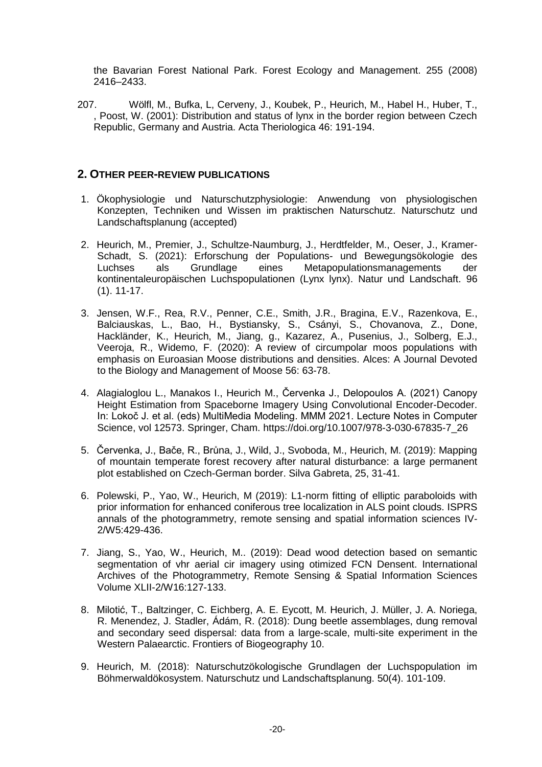the Bavarian Forest National Park. Forest Ecology and Management. 255 (2008) 2416–2433.

207. Wölfl, M., Bufka, L, Cerveny, J., Koubek, P., Heurich, M., Habel H., Huber, T., , Poost, W. (2001): Distribution and status of lynx in the border region between Czech Republic, Germany and Austria. Acta Theriologica 46: 191-194.

### **2. OTHER PEER-REVIEW PUBLICATIONS**

- 1. Ökophysiologie und Naturschutzphysiologie: Anwendung von physiologischen Konzepten, Techniken und Wissen im praktischen Naturschutz. Naturschutz und Landschaftsplanung (accepted)
- 2. Heurich, M., Premier, J., Schultze-Naumburg, J., Herdtfelder, M., Oeser, J., Kramer-Schadt, S. (2021): Erforschung der Populations- und Bewegungsökologie des<br>Luchses als Grundlage eines Metapopulationsmanagements der Grundlage eines Metapopulationsmanagements der kontinentaleuropäischen Luchspopulationen (Lynx lynx). Natur und Landschaft. 96 (1). 11-17.
- 3. Jensen, W.F., Rea, R.V., Penner, C.E., Smith, J.R., Bragina, E.V., Razenkova, E., Balciauskas, L., Bao, H., Bystiansky, S., Csányi, S., Chovanova, Z., Done, Hackländer, K., Heurich, M., Jiang, g., Kazarez, A., Pusenius, J., Solberg, E.J., Veeroia, R., Widemo, F. (2020): A review of circumpolar moos populations with emphasis on Euroasian Moose distributions and densities. Alces: A Journal Devoted to the Biology and Management of Moose 56: 63-78.
- 4. Alagialoglou L., Manakos I., Heurich M., Červenka J., Delopoulos A. (2021) Canopy Height Estimation from Spaceborne Imagery Using Convolutional Encoder-Decoder. In: Lokoč J. et al. (eds) MultiMedia Modeling. MMM 2021. Lecture Notes in Computer Science, vol 12573. Springer, Cham. [https://doi.org/10.1007/978-3-030-67835-7\\_26](https://doi.org/10.1007/978-3-030-67835-7_26)
- 5. Červenka, J., Bače, R., Brůna, J., Wild, J., Svoboda, M., Heurich, M. (2019): Mapping of mountain temperate forest recovery after natural disturbance: a large permanent plot established on Czech-German border. Silva Gabreta, 25, 31-41.
- 6. Polewski, P., Yao, W., Heurich, M (2019): L1-norm fitting of elliptic paraboloids with prior information for enhanced coniferous tree localization in ALS point clouds. ISPRS annals of the photogrammetry, remote sensing and spatial information sciences IV-2/W5:429-436.
- 7. Jiang, S., Yao, W., Heurich, M.. (2019): Dead wood detection based on semantic segmentation of vhr aerial cir imagery using otimized FCN Densent. International Archives of the Photogrammetry, Remote Sensing & Spatial Information Sciences Volume XLII-2/W16:127-133.
- 8. Milotić, T., Baltzinger, C. Eichberg, A. E. Eycott, M. Heurich, J. Müller, J. A. Noriega, R. Menendez, J. Stadler, Ádám, R. (2018): Dung beetle assemblages, dung removal and secondary seed dispersal: data from a large-scale, multi-site experiment in the Western Palaearctic. Frontiers of Biogeography 10.
- 9. Heurich, M. (2018): Naturschutzökologische Grundlagen der Luchspopulation im Böhmerwaldökosystem. Naturschutz und Landschaftsplanung. 50(4). 101-109.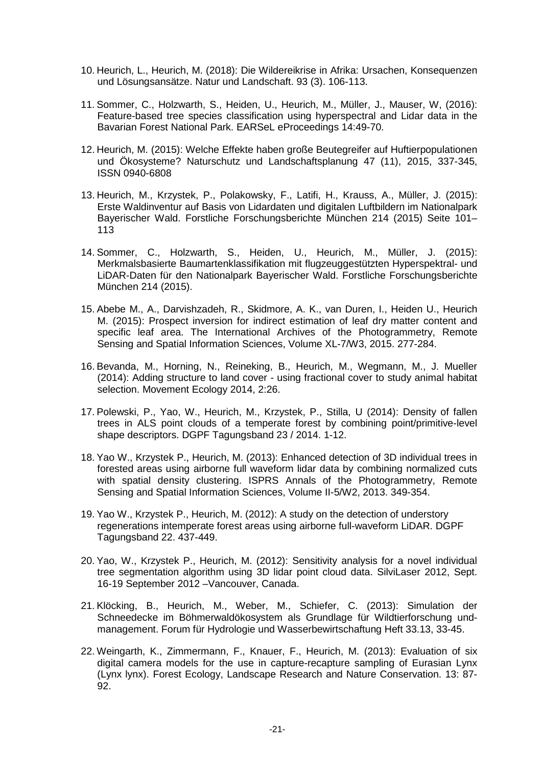- 10. Heurich, L., Heurich, M. (2018): Die Wildereikrise in Afrika: Ursachen, Konsequenzen und Lösungsansätze. Natur und Landschaft. 93 (3). 106-113.
- 11. Sommer, C., Holzwarth, S., Heiden, U., Heurich, M., Müller, J., Mauser, W, (2016): Feature-based tree species classification using hyperspectral and Lidar data in the Bavarian Forest National Park. EARSeL eProceedings 14:49-70.
- 12. Heurich, M. (2015): Welche Effekte haben große Beutegreifer auf Huftierpopulationen und Ökosysteme? Naturschutz und Landschaftsplanung 47 (11), 2015, 337-345, ISSN 0940-6808
- 13. Heurich, M., Krzystek, P., Polakowsky, F., Latifi, H., Krauss, A., Müller, J. (2015): Erste Waldinventur auf Basis von Lidardaten und digitalen Luftbildern im Nationalpark Bayerischer Wald. Forstliche Forschungsberichte München 214 (2015) Seite 101– 113
- 14. Sommer, C., Holzwarth, S., Heiden, U., Heurich, M., Müller, J. (2015): Merkmalsbasierte Baumartenklassifikation mit flugzeuggestützten Hyperspektral- und LiDAR-Daten für den Nationalpark Bayerischer Wald. Forstliche Forschungsberichte München 214 (2015).
- 15. Abebe M., A., Darvishzadeh, R., Skidmore, A. K., van Duren, I., Heiden U., Heurich M. (2015): Prospect inversion for indirect estimation of leaf dry matter content and specific leaf area. The International Archives of the Photogrammetry, Remote Sensing and Spatial Information Sciences, Volume XL-7/W3, 2015. 277-284.
- 16. Bevanda, M., Horning, N., Reineking, B., Heurich, M., Wegmann, M., J. Mueller (2014): Adding structure to land cover - using fractional cover to study animal habitat selection. Movement Ecology 2014, 2:26.
- 17. Polewski, P., Yao, W., Heurich, M., Krzystek, P., Stilla, U (2014): Density of fallen trees in ALS point clouds of a temperate forest by combining point/primitive-level shape descriptors. DGPF Tagungsband 23 / 2014. 1-12.
- 18. Yao W., Krzystek P., Heurich, M. (2013): Enhanced detection of 3D individual trees in forested areas using airborne full waveform lidar data by combining normalized cuts with spatial density clustering. ISPRS Annals of the Photogrammetry, Remote Sensing and Spatial Information Sciences, Volume II-5/W2, 2013. 349-354.
- 19. Yao W., Krzystek P., Heurich, M. (2012): A study on the detection of understory regenerations intemperate forest areas using airborne full-waveform LiDAR. DGPF Tagungsband 22. 437-449.
- 20. Yao, W., Krzystek P., Heurich, M. (2012): Sensitivity analysis for a novel individual tree segmentation algorithm using 3D lidar point cloud data. SilviLaser 2012, Sept. 16-19 September 2012 –Vancouver, Canada.
- 21. Klöcking, B., Heurich, M., Weber, M., Schiefer, C. (2013): Simulation der Schneedecke im Böhmerwaldökosystem als Grundlage für Wildtierforschung undmanagement. Forum für Hydrologie und Wasserbewirtschaftung Heft 33.13, 33-45.
- 22. Weingarth, K., Zimmermann, F., Knauer, F., Heurich, M. (2013): Evaluation of six digital camera models for the use in capture-recapture sampling of Eurasian Lynx (Lynx lynx). Forest Ecology, Landscape Research and Nature Conservation. 13: 87- 92.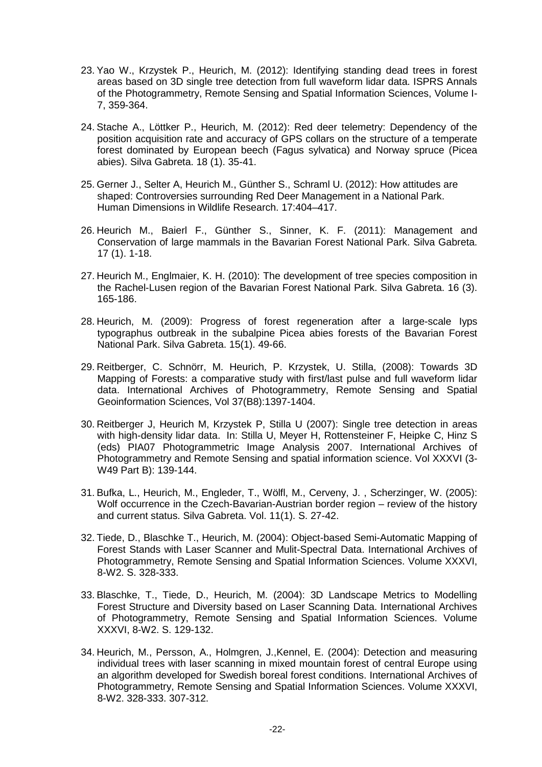- 23. Yao W., Krzystek P., Heurich, M. (2012): Identifying standing dead trees in forest areas based on 3D single tree detection from full waveform lidar data. ISPRS Annals of the Photogrammetry, Remote Sensing and Spatial Information Sciences, Volume I-7, 359-364.
- 24. Stache A., Löttker P., Heurich, M. (2012): Red deer telemetry: Dependency of the position acquisition rate and accuracy of GPS collars on the structure of a temperate forest dominated by European beech (Fagus sylvatica) and Norway spruce (Picea abies). Silva Gabreta. 18 (1). 35-41.
- 25. Gerner J., Selter A, Heurich M., Günther S., Schraml U. (2012): How attitudes are shaped: Controversies surrounding Red Deer Management in a National Park. Human Dimensions in Wildlife Research. 17:404–417.
- 26. Heurich M., Baierl F., Günther S., Sinner, K. F. (2011): Management and Conservation of large mammals in the Bavarian Forest National Park. Silva Gabreta. 17 (1). 1-18.
- 27. Heurich M., Englmaier, K. H. (2010): The development of tree species composition in the Rachel-Lusen region of the Bavarian Forest National Park. Silva Gabreta. 16 (3). 165-186.
- 28. Heurich, M. (2009): Progress of forest regeneration after a large-scale Iyps typographus outbreak in the subalpine Picea abies forests of the Bavarian Forest National Park. Silva Gabreta. 15(1). 49-66.
- 29. Reitberger, C. Schnörr, M. Heurich, P. Krzystek, U. Stilla, (2008): Towards 3D Mapping of Forests: a comparative study with first/last pulse and full waveform lidar data. International Archives of Photogrammetry, Remote Sensing and Spatial Geoinformation Sciences, Vol 37(B8):1397-1404.
- 30. Reitberger J, Heurich M, Krzystek P, Stilla U (2007): Single tree detection in areas with high-density lidar data. In: Stilla U, Meyer H, Rottensteiner F, Heipke C, Hinz S (eds) PIA07 Photogrammetric Image Analysis 2007. International Archives of Photogrammetry and Remote Sensing and spatial information science. Vol XXXVI (3- W49 Part B): 139-144.
- 31. Bufka, L., Heurich, M., Engleder, T., Wölfl, M., Cerveny, J. , Scherzinger, W. (2005): Wolf occurrence in the Czech-Bavarian-Austrian border region – review of the history and current status. Silva Gabreta. Vol. 11(1). S. 27-42.
- 32. Tiede, D., Blaschke T., Heurich, M. (2004): Object-based Semi-Automatic Mapping of Forest Stands with Laser Scanner and Mulit-Spectral Data. International Archives of Photogrammetry, Remote Sensing and Spatial Information Sciences. Volume XXXVI, 8-W2. S. 328-333.
- 33. Blaschke, T., Tiede, D., Heurich, M. (2004): 3D Landscape Metrics to Modelling Forest Structure and Diversity based on Laser Scanning Data. International Archives of Photogrammetry, Remote Sensing and Spatial Information Sciences. Volume XXXVI, 8-W2. S. 129-132.
- 34. Heurich, M., Persson, A., Holmgren, J.,Kennel, E. (2004): Detection and measuring individual trees with laser scanning in mixed mountain forest of central Europe using an algorithm developed for Swedish boreal forest conditions. International Archives of Photogrammetry, Remote Sensing and Spatial Information Sciences. Volume XXXVI, 8-W2. 328-333. 307-312.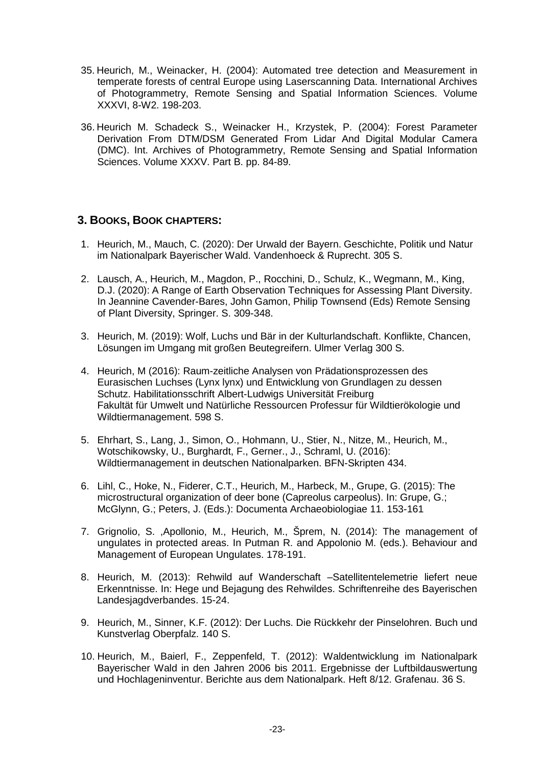- 35. Heurich, M., Weinacker, H. (2004): Automated tree detection and Measurement in temperate forests of central Europe using Laserscanning Data. International Archives of Photogrammetry, Remote Sensing and Spatial Information Sciences. Volume XXXVI, 8-W2. 198-203.
- 36. Heurich M. Schadeck S., Weinacker H., Krzystek, P. (2004): Forest Parameter Derivation From DTM/DSM Generated From Lidar And Digital Modular Camera (DMC). Int. Archives of Photogrammetry, Remote Sensing and Spatial Information Sciences. Volume XXXV. Part B. pp. 84-89.

# **3. BOOKS, BOOK CHAPTERS:**

- 1. Heurich, M., Mauch, C. (2020): Der Urwald der Bayern. Geschichte, Politik und Natur im Nationalpark Bayerischer Wald. Vandenhoeck & Ruprecht. 305 S.
- 2. Lausch, A., Heurich, M., Magdon, P., Rocchini, D., Schulz, K., Wegmann, M., King, D.J. (2020): A Range of Earth Observation Techniques for Assessing Plant Diversity. In Jeannine Cavender-Bares, John Gamon, Philip Townsend (Eds) Remote Sensing of Plant Diversity, Springer. S. 309-348.
- 3. Heurich, M. (2019): Wolf, Luchs und Bär in der Kulturlandschaft. Konflikte, Chancen, Lösungen im Umgang mit großen Beutegreifern. Ulmer Verlag 300 S.
- 4. Heurich, M (2016): Raum-zeitliche Analysen von Prädationsprozessen des Eurasischen Luchses (Lynx lynx) und Entwicklung von Grundlagen zu dessen Schutz. Habilitationsschrift Albert-Ludwigs Universität Freiburg Fakultät für Umwelt und Natürliche Ressourcen Professur für Wildtierökologie und Wildtiermanagement. 598 S.
- 5. Ehrhart, S., Lang, J., Simon, O., Hohmann, U., Stier, N., Nitze, M., Heurich, M., Wotschikowsky, U., Burghardt, F., Gerner., J., Schraml, U. (2016): Wildtiermanagement in deutschen Nationalparken. BFN-Skripten 434.
- 6. Lihl, C., Hoke, N., Fiderer, C.T., Heurich, M., Harbeck, M., Grupe, G. (2015): The microstructural organization of deer bone (Capreolus carpeolus). In: Grupe, G.; McGlynn, G.; Peters, J. (Eds.): Documenta Archaeobiologiae 11. 153-161
- 7. Grignolio, S. ,Apollonio, M., Heurich, M., Šprem, N. (2014): The management of ungulates in protected areas. In Putman R. and Appolonio M. (eds.). Behaviour and Management of European Ungulates. 178-191.
- 8. Heurich, M. (2013): Rehwild auf Wanderschaft –Satellitentelemetrie liefert neue Erkenntnisse. In: Hege und Bejagung des Rehwildes. Schriftenreihe des Bayerischen Landesjagdverbandes. 15-24.
- 9. Heurich, M., Sinner, K.F. (2012): Der Luchs. Die Rückkehr der Pinselohren. Buch und Kunstverlag Oberpfalz. 140 S.
- 10. Heurich, M., Baierl, F., Zeppenfeld, T. (2012): Waldentwicklung im Nationalpark Bayerischer Wald in den Jahren 2006 bis 2011. Ergebnisse der Luftbildauswertung und Hochlageninventur. Berichte aus dem Nationalpark. Heft 8/12. Grafenau. 36 S.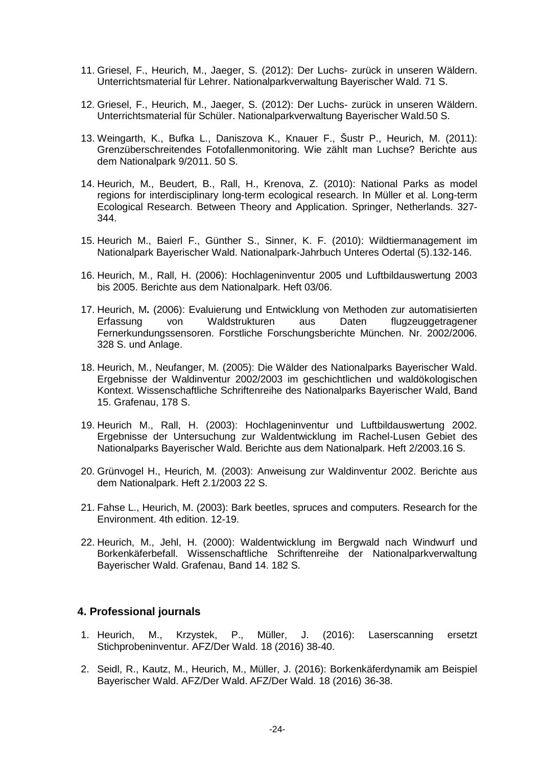- 11. Griesel, F., Heurich, M., Jaeger, S. (2012): Der Luchs- zurück in unseren Wäldern. Unterrichtsmaterial für Lehrer. Nationalparkverwaltung Bayerischer Wald. 71 S.
- 12. Griesel, F., Heurich, M., Jaeger, S. (2012): Der Luchs- zurück in unseren Wäldern. Unterrichtsmaterial für Schüler. Nationalparkverwaltung Bayerischer Wald.50 S.
- 13. Weingarth, K., Bufka L., Daniszova K., Knauer F., Šustr P., Heurich, M. (2011): Grenzüberschreitendes Fotofallenmonitoring. Wie zählt man Luchse? Berichte aus dem Nationalpark 9/2011. 50 S.
- 14. Heurich, M., Beudert, B., Rall, H., Krenova, Z. (2010): National Parks as model regions for interdisciplinary long-term ecological research. In Müller et al. Long-term Ecological Research. Between Theory and Application. Springer, Netherlands. 327- 344.
- 15. Heurich M., Baierl F., Günther S., Sinner, K. F. (2010): Wildtiermanagement im Nationalpark Bayerischer Wald. Nationalpark-Jahrbuch Unteres Odertal (5).132-146.
- 16. Heurich, M., Rall, H. (2006): Hochlageninventur 2005 und Luftbildauswertung 2003 bis 2005. Berichte aus dem Nationalpark. Heft 03/06.
- 17. Heurich, M**.** (2006): Evaluierung und Entwicklung von Methoden zur automatisierten Erfassung von Waldstrukturen aus Daten flugzeuggetragener Fernerkundungssensoren. Forstliche Forschungsberichte München. Nr. 2002/2006. 328 S. und Anlage.
- 18. Heurich, M., Neufanger, M. (2005): Die Wälder des Nationalparks Bayerischer Wald. Ergebnisse der Waldinventur 2002/2003 im geschichtlichen und waldökologischen Kontext. Wissenschaftliche Schriftenreihe des Nationalparks Bayerischer Wald, Band 15. Grafenau, 178 S.
- 19. Heurich M., Rall, H. (2003): Hochlageninventur und Luftbildauswertung 2002. Ergebnisse der Untersuchung zur Waldentwicklung im Rachel-Lusen Gebiet des Nationalparks Bayerischer Wald. Berichte aus dem Nationalpark. Heft 2/2003.16 S.
- 20. Grünvogel H., Heurich, M. (2003): Anweisung zur Waldinventur 2002. Berichte aus dem Nationalpark. Heft 2.1/2003 22 S.
- 21. Fahse L., Heurich, M. (2003): Bark beetles, spruces and computers. Research for the Environment. 4th edition. 12-19.
- 22. Heurich, M., Jehl, H. (2000): Waldentwicklung im Bergwald nach Windwurf und Borkenkäferbefall. Wissenschaftliche Schriftenreihe der Nationalparkverwaltung Bayerischer Wald. Grafenau, Band 14. 182 S.

#### **4. Professional journals**

- 1. Heurich, M., Krzystek, P., Müller, J. (2016): Laserscanning ersetzt Stichprobeninventur. AFZ/Der Wald. 18 (2016) 38-40.
- 2. Seidl, R., Kautz, M., Heurich, M., Müller, J. (2016): Borkenkäferdynamik am Beispiel Bayerischer Wald. AFZ/Der Wald. AFZ/Der Wald. 18 (2016) 36-38.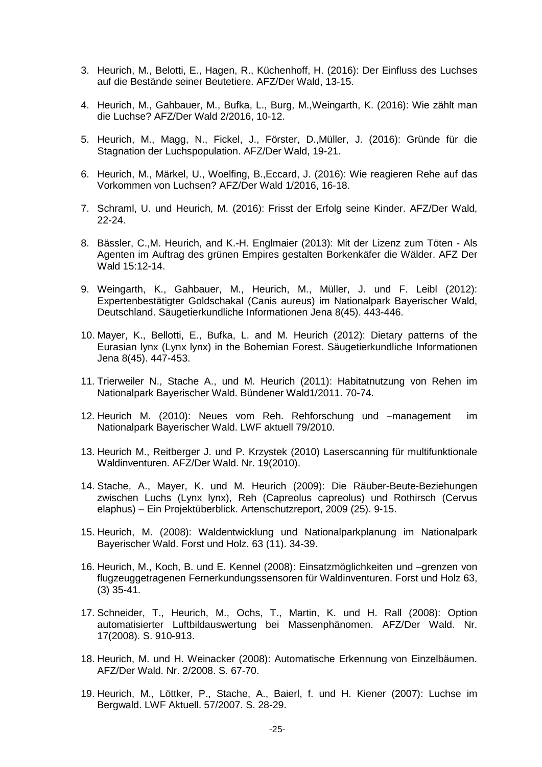- 3. Heurich, M., Belotti, E., Hagen, R., Küchenhoff, H. (2016): Der Einfluss des Luchses auf die Bestände seiner Beutetiere. AFZ/Der Wald, 13-15.
- 4. Heurich, M., Gahbauer, M., Bufka, L., Burg, M.,Weingarth, K. (2016): Wie zählt man die Luchse? AFZ/Der Wald 2/2016, 10-12.
- 5. Heurich, M., Magg, N., Fickel, J., Förster, D.,Müller, J. (2016): Gründe für die Stagnation der Luchspopulation. AFZ/Der Wald, 19-21.
- 6. Heurich, M., Märkel, U., Woelfing, B.,Eccard, J. (2016): Wie reagieren Rehe auf das Vorkommen von Luchsen? AFZ/Der Wald 1/2016, 16-18.
- 7. Schraml, U. und Heurich, M. (2016): Frisst der Erfolg seine Kinder. AFZ/Der Wald, 22-24.
- 8. Bässler, C.,M. Heurich, and K.-H. Englmaier (2013): Mit der Lizenz zum Töten Als Agenten im Auftrag des grünen Empires gestalten Borkenkäfer die Wälder. AFZ Der Wald 15:12-14.
- 9. Weingarth, K., Gahbauer, M., Heurich, M., Müller, J. und F. Leibl (2012): Expertenbestätigter Goldschakal (Canis aureus) im Nationalpark Bayerischer Wald, Deutschland. Säugetierkundliche Informationen Jena 8(45). 443-446.
- 10. Mayer, K., Bellotti, E., Bufka, L. and M. Heurich (2012): Dietary patterns of the Eurasian lynx (Lynx lynx) in the Bohemian Forest. Säugetierkundliche Informationen Jena 8(45). 447-453.
- 11. Trierweiler N., Stache A., und M. Heurich (2011): Habitatnutzung von Rehen im Nationalpark Bayerischer Wald. Bündener Wald1/2011. 70-74.
- 12. Heurich M. (2010): Neues vom Reh. Rehforschung und –management im Nationalpark Bayerischer Wald. LWF aktuell 79/2010.
- 13. Heurich M., Reitberger J. und P. Krzystek (2010) Laserscanning für multifunktionale Waldinventuren. AFZ/Der Wald. Nr. 19(2010).
- 14. Stache, A., Mayer, K. und M. Heurich (2009): Die Räuber-Beute-Beziehungen zwischen Luchs (Lynx lynx), Reh (Capreolus capreolus) und Rothirsch (Cervus elaphus) – Ein Projektüberblick. Artenschutzreport, 2009 (25). 9-15.
- 15. Heurich, M. (2008): Waldentwicklung und Nationalparkplanung im Nationalpark Bayerischer Wald. Forst und Holz. 63 (11). 34-39.
- 16. Heurich, M., Koch, B. und E. Kennel (2008): Einsatzmöglichkeiten und –grenzen von flugzeuggetragenen Fernerkundungssensoren für Waldinventuren. Forst und Holz 63, (3) 35-41.
- 17. Schneider, T., Heurich, M., Ochs, T., Martin, K. und H. Rall (2008): Option automatisierter Luftbildauswertung bei Massenphänomen. AFZ/Der Wald. Nr. 17(2008). S. 910-913.
- 18. Heurich, M. und H. Weinacker (2008): Automatische Erkennung von Einzelbäumen. AFZ/Der Wald. Nr. 2/2008. S. 67-70.
- 19. Heurich, M., Löttker, P., Stache, A., Baierl, f. und H. Kiener (2007): Luchse im Bergwald. LWF Aktuell. 57/2007. S. 28-29.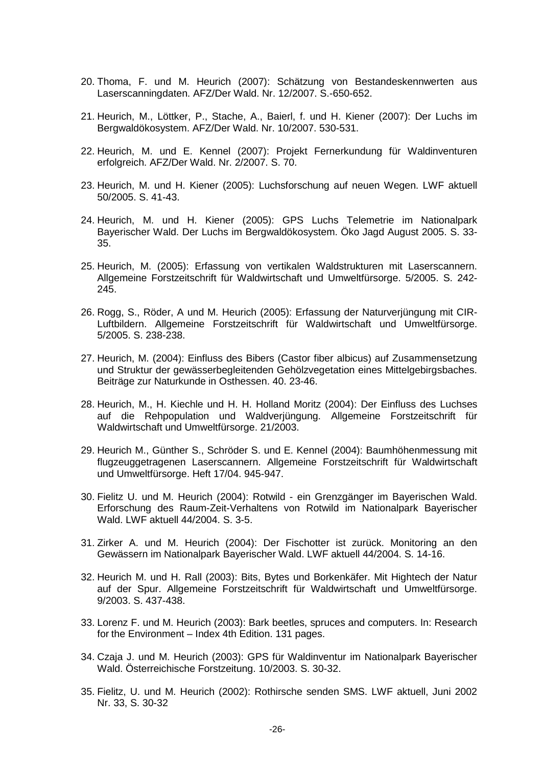- 20. Thoma, F. und M. Heurich (2007): Schätzung von Bestandeskennwerten aus Laserscanningdaten. AFZ/Der Wald. Nr. 12/2007. S.-650-652.
- 21. Heurich, M., Löttker, P., Stache, A., Baierl, f. und H. Kiener (2007): Der Luchs im Bergwaldökosystem. AFZ/Der Wald. Nr. 10/2007. 530-531.
- 22. Heurich, M. und E. Kennel (2007): Projekt Fernerkundung für Waldinventuren erfolgreich. AFZ/Der Wald. Nr. 2/2007. S. 70.
- 23. Heurich, M. und H. Kiener (2005): Luchsforschung auf neuen Wegen. LWF aktuell 50/2005. S. 41-43.
- 24. Heurich, M. und H. Kiener (2005): GPS Luchs Telemetrie im Nationalpark Bayerischer Wald. Der Luchs im Bergwaldökosystem. Öko Jagd August 2005. S. 33- 35.
- 25. Heurich, M. (2005): Erfassung von vertikalen Waldstrukturen mit Laserscannern. Allgemeine Forstzeitschrift für Waldwirtschaft und Umweltfürsorge. 5/2005. S. 242- 245.
- 26. Rogg, S., Röder, A und M. Heurich (2005): Erfassung der Naturverjüngung mit CIR-Luftbildern. Allgemeine Forstzeitschrift für Waldwirtschaft und Umweltfürsorge. 5/2005. S. 238-238.
- 27. Heurich, M. (2004): Einfluss des Bibers (Castor fiber albicus) auf Zusammensetzung und Struktur der gewässerbegleitenden Gehölzvegetation eines Mittelgebirgsbaches. Beiträge zur Naturkunde in Osthessen. 40. 23-46.
- 28. Heurich, M., H. Kiechle und H. H. Holland Moritz (2004): Der Einfluss des Luchses auf die Rehpopulation und Waldverjüngung. Allgemeine Forstzeitschrift für Waldwirtschaft und Umweltfürsorge. 21/2003.
- 29. Heurich M., Günther S., Schröder S. und E. Kennel (2004): Baumhöhenmessung mit flugzeuggetragenen Laserscannern. Allgemeine Forstzeitschrift für Waldwirtschaft und Umweltfürsorge. Heft 17/04. 945-947.
- 30. Fielitz U. und M. Heurich (2004): Rotwild ein Grenzgänger im Bayerischen Wald. Erforschung des Raum-Zeit-Verhaltens von Rotwild im Nationalpark Bayerischer Wald. LWF aktuell 44/2004. S. 3-5.
- 31. Zirker A. und M. Heurich (2004): Der Fischotter ist zurück. Monitoring an den Gewässern im Nationalpark Bayerischer Wald. LWF aktuell 44/2004. S. 14-16.
- 32. Heurich M. und H. Rall (2003): Bits, Bytes und Borkenkäfer. Mit Hightech der Natur auf der Spur. Allgemeine Forstzeitschrift für Waldwirtschaft und Umweltfürsorge. 9/2003. S. 437-438.
- 33. Lorenz F. und M. Heurich (2003): Bark beetles, spruces and computers. In: Research for the Environment – Index 4th Edition. 131 pages.
- 34. Czaja J. und M. Heurich (2003): GPS für Waldinventur im Nationalpark Bayerischer Wald. Österreichische Forstzeitung. 10/2003. S. 30-32.
- 35. Fielitz, U. und M. Heurich (2002): Rothirsche senden SMS. LWF aktuell, Juni 2002 Nr. 33, S. 30-32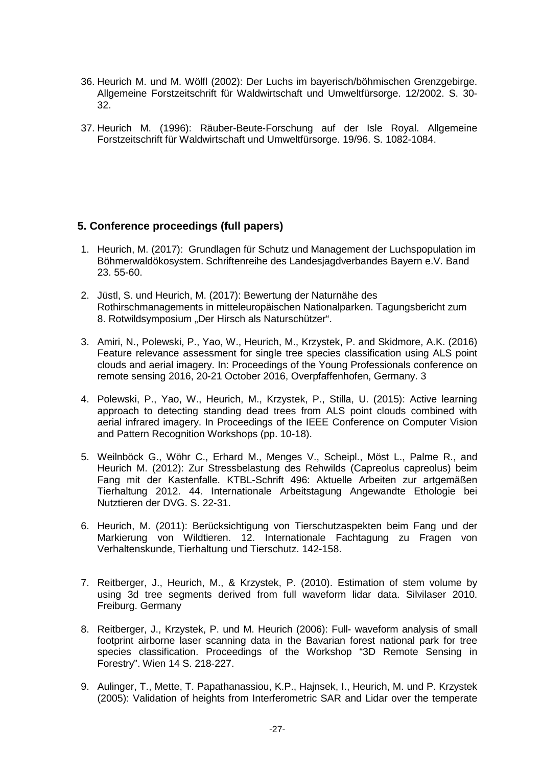- 36. Heurich M. und M. Wölfl (2002): Der Luchs im bayerisch/böhmischen Grenzgebirge. Allgemeine Forstzeitschrift für Waldwirtschaft und Umweltfürsorge. 12/2002. S. 30- 32.
- 37. Heurich M. (1996): Räuber-Beute-Forschung auf der Isle Royal. Allgemeine Forstzeitschrift für Waldwirtschaft und Umweltfürsorge. 19/96. S. 1082-1084.

## **5. Conference proceedings (full papers)**

- 1. Heurich, M. (2017): Grundlagen für Schutz und Management der Luchspopulation im Böhmerwaldökosystem. Schriftenreihe des Landesjagdverbandes Bayern e.V. Band 23. 55-60.
- 2. Jüstl, S. und Heurich, M. (2017): Bewertung der Naturnähe des Rothirschmanagements in mitteleuropäischen Nationalparken. Tagungsbericht zum 8. Rotwildsymposium "Der Hirsch als Naturschützer".
- 3. Amiri, N., Polewski, P., Yao, W., Heurich, M., Krzystek, P. and Skidmore, A.K. (2016) Feature relevance assessment for single tree species classification using ALS point clouds and aerial imagery. In: Proceedings of the Young Professionals conference on remote sensing 2016, 20-21 October 2016, Overpfaffenhofen, Germany. 3
- 4. Polewski, P., Yao, W., Heurich, M., Krzystek, P., Stilla, U. (2015): Active learning approach to detecting standing dead trees from ALS point clouds combined with aerial infrared imagery. In Proceedings of the IEEE Conference on Computer Vision and Pattern Recognition Workshops (pp. 10-18).
- 5. Weilnböck G., Wöhr C., Erhard M., Menges V., Scheipl., Möst L., Palme R., and Heurich M. (2012): Zur Stressbelastung des Rehwilds (Capreolus capreolus) beim Fang mit der Kastenfalle. KTBL-Schrift 496: Aktuelle Arbeiten zur artgemäßen Tierhaltung 2012. 44. Internationale Arbeitstagung Angewandte Ethologie bei Nutztieren der DVG. S. 22-31.
- 6. Heurich, M. (2011): Berücksichtigung von Tierschutzaspekten beim Fang und der Markierung von Wildtieren. 12. Internationale Fachtagung zu Fragen von Verhaltenskunde, Tierhaltung und Tierschutz. 142-158.
- 7. Reitberger, J., Heurich, M., & Krzystek, P. (2010). Estimation of stem volume by using 3d tree segments derived from full waveform lidar data. Silvilaser 2010. Freiburg. Germany
- 8. Reitberger, J., Krzystek, P. und M. Heurich (2006): Full- waveform analysis of small footprint airborne laser scanning data in the Bavarian forest national park for tree species classification. Proceedings of the Workshop "3D Remote Sensing in Forestry". Wien 14 S. 218-227.
- 9. Aulinger, T., Mette, T. Papathanassiou, K.P., Hajnsek, I., Heurich, M. und P. Krzystek (2005): Validation of heights from Interferometric SAR and Lidar over the temperate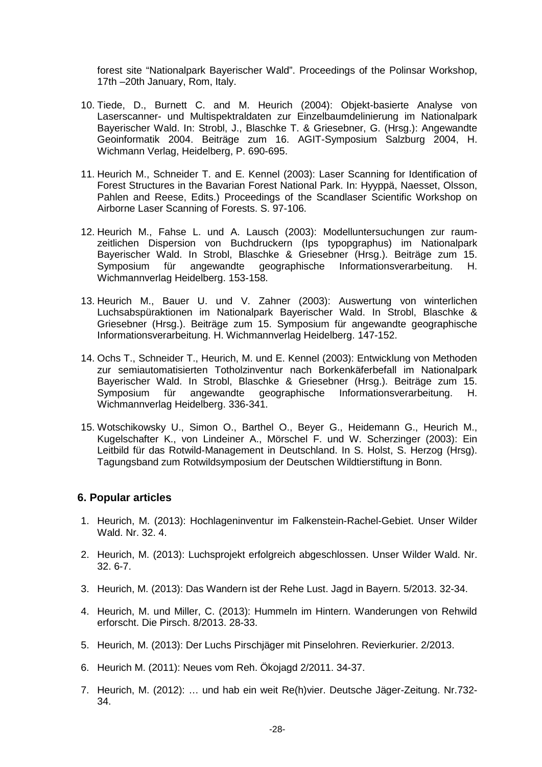forest site "Nationalpark Bayerischer Wald". Proceedings of the Polinsar Workshop, 17th –20th January, Rom, Italy.

- 10. Tiede, D., Burnett C. and M. Heurich (2004): Objekt-basierte Analyse von Laserscanner- und Multispektraldaten zur Einzelbaumdelinierung im Nationalpark Bayerischer Wald. In: Strobl, J., Blaschke T. & Griesebner, G. (Hrsg.): Angewandte Geoinformatik 2004. Beiträge zum 16. AGIT-Symposium Salzburg 2004, H. Wichmann Verlag, Heidelberg, P. 690-695.
- 11. Heurich M., Schneider T. and E. Kennel (2003): Laser Scanning for Identification of Forest Structures in the Bavarian Forest National Park. In: Hyyppä, Naesset, Olsson, Pahlen and Reese, Edits.) Proceedings of the Scandlaser Scientific Workshop on Airborne Laser Scanning of Forests. S. 97-106.
- 12. Heurich M., Fahse L. und A. Lausch (2003): Modelluntersuchungen zur raumzeitlichen Dispersion von Buchdruckern (Ips typopgraphus) im Nationalpark Bayerischer Wald. In Strobl, Blaschke & Griesebner (Hrsg.). Beiträge zum 15. Symposium für angewandte geographische Informationsverarbeitung. H. Wichmannverlag Heidelberg. 153-158.
- 13. Heurich M., Bauer U. und V. Zahner (2003): Auswertung von winterlichen Luchsabspüraktionen im Nationalpark Bayerischer Wald. In Strobl, Blaschke & Griesebner (Hrsg.). Beiträge zum 15. Symposium für angewandte geographische Informationsverarbeitung. H. Wichmannverlag Heidelberg. 147-152.
- 14. Ochs T., Schneider T., Heurich, M. und E. Kennel (2003): Entwicklung von Methoden zur semiautomatisierten Totholzinventur nach Borkenkäferbefall im Nationalpark Bayerischer Wald. In Strobl, Blaschke & Griesebner (Hrsg.). Beiträge zum 15.<br>Symposium für angewandte geographische Informationsverarbeitung. H. angewandte geographische Informationsverarbeitung. Wichmannverlag Heidelberg. 336-341.
- 15. Wotschikowsky U., Simon O., Barthel O., Beyer G., Heidemann G., Heurich M., Kugelschafter K., von Lindeiner A., Mörschel F. und W. Scherzinger (2003): Ein Leitbild für das Rotwild-Management in Deutschland. In S. Holst, S. Herzog (Hrsg). Tagungsband zum Rotwildsymposium der Deutschen Wildtierstiftung in Bonn.

#### **6. Popular articles**

- 1. Heurich, M. (2013): Hochlageninventur im Falkenstein-Rachel-Gebiet. Unser Wilder Wald. Nr. 32. 4.
- 2. Heurich, M. (2013): Luchsprojekt erfolgreich abgeschlossen. Unser Wilder Wald. Nr. 32. 6-7.
- 3. Heurich, M. (2013): Das Wandern ist der Rehe Lust. Jagd in Bayern. 5/2013. 32-34.
- 4. Heurich, M. und Miller, C. (2013): Hummeln im Hintern. Wanderungen von Rehwild erforscht. Die Pirsch. 8/2013. 28-33.
- 5. Heurich, M. (2013): Der Luchs Pirschjäger mit Pinselohren. Revierkurier. 2/2013.
- 6. Heurich M. (2011): Neues vom Reh. Ökojagd 2/2011. 34-37.
- 7. Heurich, M. (2012): … und hab ein weit Re(h)vier. Deutsche Jäger-Zeitung. Nr.732- 34.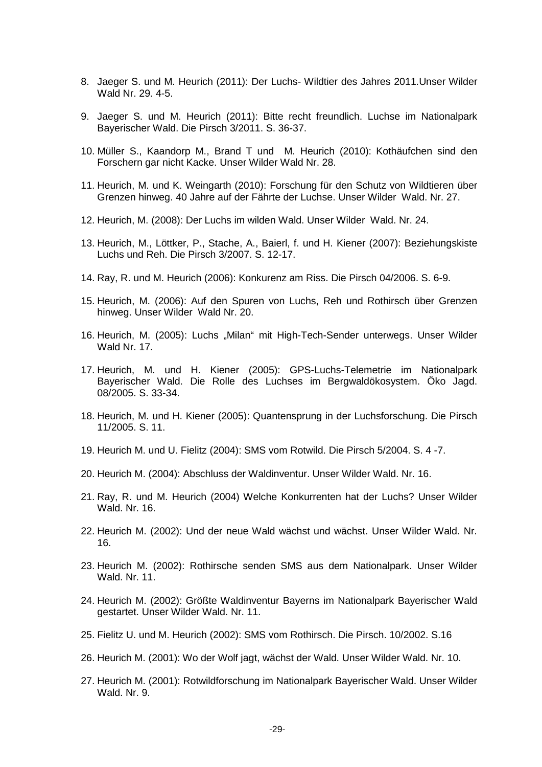- 8. Jaeger S. und M. Heurich (2011): Der Luchs- Wildtier des Jahres 2011.Unser Wilder Wald Nr. 29. 4-5.
- 9. Jaeger S. und M. Heurich (2011): Bitte recht freundlich. Luchse im Nationalpark Bayerischer Wald. Die Pirsch 3/2011. S. 36-37.
- 10. Müller S., Kaandorp M., Brand T und M. Heurich (2010): Kothäufchen sind den Forschern gar nicht Kacke. Unser Wilder Wald Nr. 28.
- 11. Heurich, M. und K. Weingarth (2010): Forschung für den Schutz von Wildtieren über Grenzen hinweg. 40 Jahre auf der Fährte der Luchse. Unser Wilder Wald. Nr. 27.
- 12. Heurich, M. (2008): Der Luchs im wilden Wald. Unser Wilder Wald. Nr. 24.
- 13. Heurich, M., Löttker, P., Stache, A., Baierl, f. und H. Kiener (2007): Beziehungskiste Luchs und Reh. Die Pirsch 3/2007. S. 12-17.
- 14. Ray, R. und M. Heurich (2006): Konkurenz am Riss. Die Pirsch 04/2006. S. 6-9.
- 15. Heurich, M. (2006): Auf den Spuren von Luchs, Reh und Rothirsch über Grenzen hinweg. Unser Wilder Wald Nr. 20.
- 16. Heurich, M. (2005): Luchs "Milan" mit High-Tech-Sender unterwegs. Unser Wilder Wald Nr. 17.
- 17. Heurich, M. und H. Kiener (2005): GPS-Luchs-Telemetrie im Nationalpark Bayerischer Wald. Die Rolle des Luchses im Bergwaldökosystem. Öko Jagd. 08/2005. S. 33-34.
- 18. Heurich, M. und H. Kiener (2005): Quantensprung in der Luchsforschung. Die Pirsch 11/2005. S. 11.
- 19. Heurich M. und U. Fielitz (2004): SMS vom Rotwild. Die Pirsch 5/2004. S. 4 -7.
- 20. Heurich M. (2004): Abschluss der Waldinventur. Unser Wilder Wald. Nr. 16.
- 21. Ray, R. und M. Heurich (2004) Welche Konkurrenten hat der Luchs? Unser Wilder Wald. Nr. 16.
- 22. Heurich M. (2002): Und der neue Wald wächst und wächst. Unser Wilder Wald. Nr. 16.
- 23. Heurich M. (2002): Rothirsche senden SMS aus dem Nationalpark. Unser Wilder Wald. Nr. 11.
- 24. Heurich M. (2002): Größte Waldinventur Bayerns im Nationalpark Bayerischer Wald gestartet. Unser Wilder Wald. Nr. 11.
- 25. Fielitz U. und M. Heurich (2002): SMS vom Rothirsch. Die Pirsch. 10/2002. S.16
- 26. Heurich M. (2001): Wo der Wolf jagt, wächst der Wald. Unser Wilder Wald. Nr. 10.
- 27. Heurich M. (2001): Rotwildforschung im Nationalpark Bayerischer Wald. Unser Wilder Wald. Nr. 9.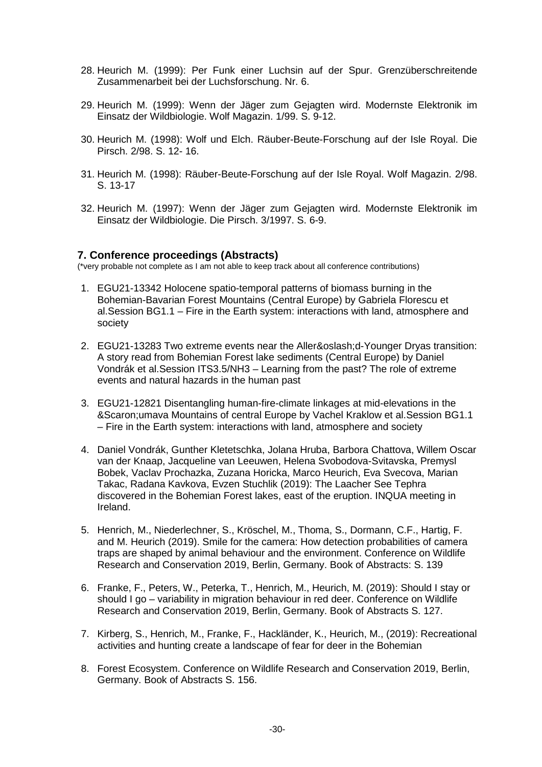- 28. Heurich M. (1999): Per Funk einer Luchsin auf der Spur. Grenzüberschreitende Zusammenarbeit bei der Luchsforschung. Nr. 6.
- 29. Heurich M. (1999): Wenn der Jäger zum Gejagten wird. Modernste Elektronik im Einsatz der Wildbiologie. Wolf Magazin. 1/99. S. 9-12.
- 30. Heurich M. (1998): Wolf und Elch. Räuber-Beute-Forschung auf der Isle Royal. Die Pirsch. 2/98. S. 12- 16.
- 31. Heurich M. (1998): Räuber-Beute-Forschung auf der Isle Royal. Wolf Magazin. 2/98. S. 13-17
- 32. Heurich M. (1997): Wenn der Jäger zum Gejagten wird. Modernste Elektronik im Einsatz der Wildbiologie. Die Pirsch. 3/1997. S. 6-9.

#### **7. Conference proceedings (Abstracts)**

(\*very probable not complete as I am not able to keep track about all conference contributions)

- 1. EGU21-13342 Holocene spatio-temporal patterns of biomass burning in the Bohemian-Bavarian Forest Mountains (Central Europe) by Gabriela Florescu et al.Session BG1.1 – Fire in the Earth system: interactions with land, atmosphere and society
- 2. EGU21-13283 Two extreme events near the Allerød-Younger Dryas transition: A story read from Bohemian Forest lake sediments (Central Europe) by Daniel Vondrák et al.Session ITS3.5/NH3 – Learning from the past? The role of extreme events and natural hazards in the human past
- 3. EGU21-12821 Disentangling human-fire-climate linkages at mid-elevations in the Šumava Mountains of central Europe by Vachel Kraklow et al.Session BG1.1 – Fire in the Earth system: interactions with land, atmosphere and society
- 4. Daniel Vondrák, Gunther Kletetschka, Jolana Hruba, Barbora Chattova, Willem Oscar van der Knaap, Jacqueline van Leeuwen, Helena Svobodova-Svitavska, Premysl Bobek, Vaclav Prochazka, Zuzana Horicka, Marco Heurich, Eva Svecova, Marian Takac, Radana Kavkova, Evzen Stuchlik (2019): The Laacher See Tephra discovered in the Bohemian Forest lakes, east of the eruption. INQUA meeting in Ireland.
- 5. Henrich, M., Niederlechner, S., Kröschel, M., Thoma, S., Dormann, C.F., Hartig, F. and M. Heurich (2019). Smile for the camera: How detection probabilities of camera traps are shaped by animal behaviour and the environment. Conference on Wildlife Research and Conservation 2019, Berlin, Germany. Book of Abstracts: S. 139
- 6. Franke, F., Peters, W., Peterka, T., Henrich, M., Heurich, M. (2019): Should I stay or should I go – variability in migration behaviour in red deer. Conference on Wildlife Research and Conservation 2019, Berlin, Germany. Book of Abstracts S. 127.
- 7. Kirberg, S., Henrich, M., Franke, F., Hackländer, K., Heurich, M., (2019): Recreational activities and hunting create a landscape of fear for deer in the Bohemian
- 8. Forest Ecosystem. Conference on Wildlife Research and Conservation 2019, Berlin, Germany. Book of Abstracts S. 156.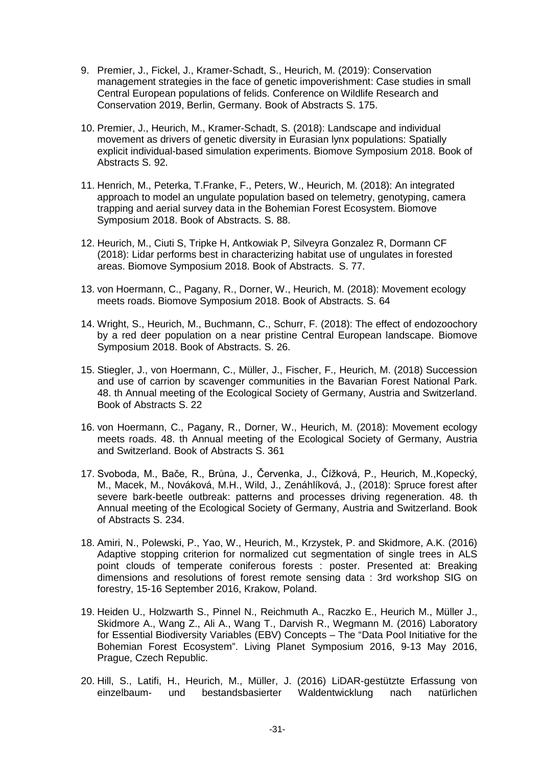- 9. Premier, J., Fickel, J., Kramer-Schadt, S., Heurich, M. (2019): Conservation management strategies in the face of genetic impoverishment: Case studies in small Central European populations of felids. Conference on Wildlife Research and Conservation 2019, Berlin, Germany. Book of Abstracts S. 175.
- 10. Premier, J., Heurich, M., Kramer-Schadt, S. (2018): Landscape and individual movement as drivers of genetic diversity in Eurasian lynx populations: Spatially explicit individual-based simulation experiments. Biomove Symposium 2018. Book of Abstracts S. 92.
- 11. Henrich, M., Peterka, T.Franke, F., Peters, W., Heurich, M. (2018): An integrated approach to model an ungulate population based on telemetry, genotyping, camera trapping and aerial survey data in the Bohemian Forest Ecosystem. Biomove Symposium 2018. Book of Abstracts. S. 88.
- 12. Heurich, M., Ciuti S, Tripke H, Antkowiak P, Silveyra Gonzalez R, Dormann CF (2018): Lidar performs best in characterizing habitat use of ungulates in forested areas. Biomove Symposium 2018. Book of Abstracts. S. 77.
- 13. von Hoermann, C., Pagany, R., Dorner, W., Heurich, M. (2018): Movement ecology meets roads. Biomove Symposium 2018. Book of Abstracts. S. 64
- 14. Wright, S., Heurich, M., Buchmann, C., Schurr, F. (2018): The effect of endozoochory by a red deer population on a near pristine Central European landscape. Biomove Symposium 2018. Book of Abstracts. S. 26.
- 15. Stiegler, J., von Hoermann, C., Müller, J., Fischer, F., Heurich, M. (2018) Succession and use of carrion by scavenger communities in the Bavarian Forest National Park. 48. th Annual meeting of the Ecological Society of Germany, Austria and Switzerland. Book of Abstracts S. 22
- 16. von Hoermann, C., Pagany, R., Dorner, W., Heurich, M. (2018): Movement ecology meets roads. 48. th Annual meeting of the Ecological Society of Germany, Austria and Switzerland. Book of Abstracts S. 361
- 17. Svoboda, M., Bače, R., Brůna, J., Červenka, J., Čížková, P., Heurich, M.,Kopecký, M., Macek, M., Nováková, M.H., Wild, J., Zenáhlíková, J., (2018): Spruce forest after severe bark-beetle outbreak: patterns and processes driving regeneration. 48. th Annual meeting of the Ecological Society of Germany, Austria and Switzerland. Book of Abstracts S. 234.
- 18. Amiri, N., Polewski, P., Yao, W., Heurich, M., Krzystek, P. and Skidmore, A.K. (2016) Adaptive stopping criterion for normalized cut segmentation of single trees in ALS point clouds of temperate coniferous forests : poster. Presented at: Breaking dimensions and resolutions of forest remote sensing data : 3rd workshop SIG on forestry, 15-16 September 2016, Krakow, Poland.
- 19. Heiden U., Holzwarth S., Pinnel N., Reichmuth A., Raczko E., Heurich M., Müller J., Skidmore A., Wang Z., Ali A., Wang T., Darvish R., Wegmann M. (2016) Laboratory for Essential Biodiversity Variables (EBV) Concepts – The "Data Pool Initiative for the Bohemian Forest Ecosystem". Living Planet Symposium 2016, 9-13 May 2016, Prague, Czech Republic.
- 20. Hill, S., Latifi, H., Heurich, M., Müller, J. (2016) LiDAR-gestützte Erfassung von einzelbaum- und bestandsbasierter Waldentwicklung nach natürlichen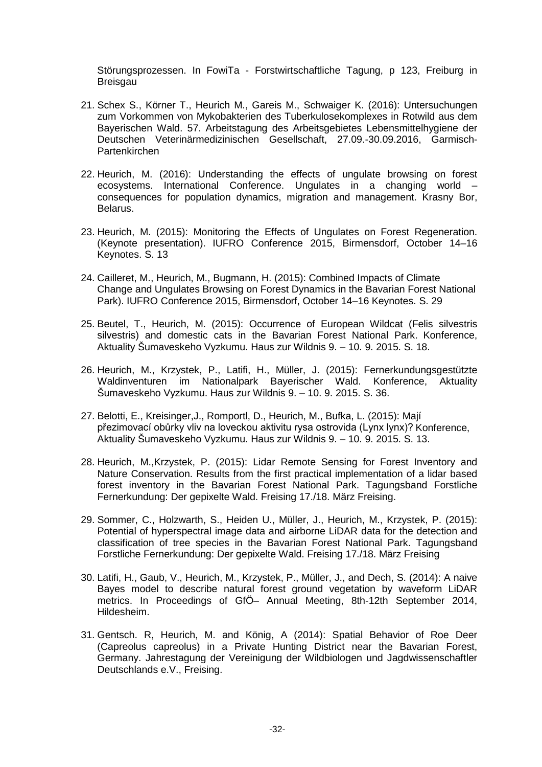Störungsprozessen. In FowiTa - Forstwirtschaftliche Tagung, p 123, Freiburg in Breisgau

- 21. Schex S., Körner T., Heurich M., Gareis M., Schwaiger K. (2016): Untersuchungen zum Vorkommen von Mykobakterien des Tuberkulosekomplexes in Rotwild aus dem Bayerischen Wald. 57. Arbeitstagung des Arbeitsgebietes Lebensmittelhygiene der Deutschen Veterinärmedizinischen Gesellschaft, 27.09.-30.09.2016, Garmisch-Partenkirchen
- 22. Heurich, M. (2016): Understanding the effects of ungulate browsing on forest ecosystems. International Conference. Ungulates in a changing world – consequences for population dynamics, migration and management. Krasny Bor, Belarus.
- 23. Heurich, M. (2015): Monitoring the Effects of Ungulates on Forest Regeneration. (Keynote presentation). IUFRO Conference 2015, Birmensdorf, October 14–16 Keynotes. S. 13
- 24. Cailleret, M., Heurich, M., Bugmann, H. (2015): Combined Impacts of Climate Change and Ungulates Browsing on Forest Dynamics in the Bavarian Forest National Park). IUFRO Conference 2015, Birmensdorf, October 14–16 Keynotes. S. 29
- 25. Beutel, T., Heurich, M. (2015): Occurrence of European Wildcat (Felis silvestris silvestris) and domestic cats in the Bavarian Forest National Park. Konference, Aktuality Šumaveskeho Vyzkumu. Haus zur Wildnis 9. – 10. 9. 2015. S. 18.
- 26. Heurich, M., Krzystek, P., Latifi, H., Müller, J. (2015): Fernerkundungsgestützte Waldinventuren im Nationalpark Bayerischer Wald. Konference, Aktuality Šumaveskeho Vyzkumu. Haus zur Wildnis 9. – 10. 9. 2015. S. 36.
- 27. Belotti, E., Kreisinger,J., Romportl, D., Heurich, M., Bufka, L. (2015): Mají přezimovací obůrky vliv na loveckou aktivitu rysa ostrovida (Lynx lynx)? Konference, Aktuality Šumaveskeho Vyzkumu. Haus zur Wildnis 9. – 10. 9. 2015. S. 13.
- 28. Heurich, M.,Krzystek, P. (2015): Lidar Remote Sensing for Forest Inventory and Nature Conservation. Results from the first practical implementation of a lidar based forest inventory in the Bavarian Forest National Park. Tagungsband Forstliche Fernerkundung: Der gepixelte Wald. Freising 17./18. März Freising.
- 29. Sommer, C., Holzwarth, S., Heiden U., Müller, J., Heurich, M., Krzystek, P. (2015): Potential of hyperspectral image data and airborne LiDAR data for the detection and classification of tree species in the Bavarian Forest National Park. Tagungsband Forstliche Fernerkundung: Der gepixelte Wald. Freising 17./18. März Freising
- 30. Latifi, H., Gaub, V., Heurich, M., Krzystek, P., Müller, J., and Dech, S. (2014): A naive Bayes model to describe natural forest ground vegetation by waveform LiDAR metrics. In Proceedings of GfÖ– Annual Meeting, 8th-12th September 2014, Hildesheim.
- 31. Gentsch. R, Heurich, M. and König, A (2014): Spatial Behavior of Roe Deer (Capreolus capreolus) in a Private Hunting District near the Bavarian Forest, Germany. Jahrestagung der Vereinigung der Wildbiologen und Jagdwissenschaftler Deutschlands e.V., Freising.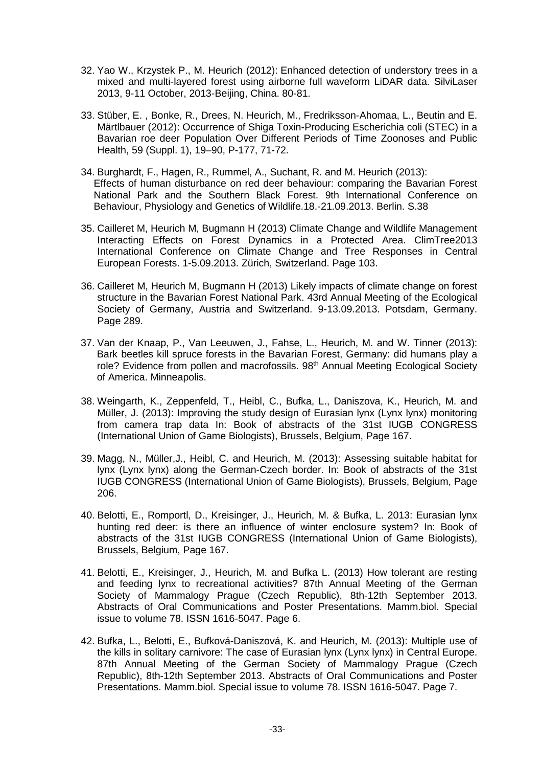- 32. Yao W., Krzystek P., M. Heurich (2012): Enhanced detection of understory trees in a mixed and multi-layered forest using airborne full waveform LiDAR data. SilviLaser 2013, 9-11 October, 2013-Beijing, China. 80-81.
- 33. Stüber, E. , Bonke, R., Drees, N. Heurich, M., Fredriksson-Ahomaa, L., Beutin and E. Märtlbauer (2012): Occurrence of Shiga Toxin-Producing Escherichia coli (STEC) in a Bavarian roe deer Population Over Different Periods of Time Zoonoses and Public Health, 59 (Suppl. 1), 19–90, P-177, 71-72.
- 34. Burghardt, F., Hagen, R., Rummel, A., Suchant, R. and M. Heurich (2013): Effects of human disturbance on red deer behaviour: comparing the Bavarian Forest National Park and the Southern Black Forest. 9th International Conference on Behaviour, Physiology and Genetics of Wildlife.18.-21.09.2013. Berlin. S.38
- 35. Cailleret M, Heurich M, Bugmann H (2013) Climate Change and Wildlife Management Interacting Effects on Forest Dynamics in a Protected Area. ClimTree2013 International Conference on Climate Change and Tree Responses in Central European Forests. 1-5.09.2013. Zürich, Switzerland. Page 103.
- 36. Cailleret M, Heurich M, Bugmann H (2013) Likely impacts of climate change on forest structure in the Bavarian Forest National Park. 43rd Annual Meeting of the Ecological Society of Germany, Austria and Switzerland. 9-13.09.2013. Potsdam, Germany. Page 289.
- 37. Van der Knaap, P., Van Leeuwen, J., Fahse, L., Heurich, M. and W. Tinner (2013): Bark beetles kill spruce forests in the Bavarian Forest, Germany: did humans play a role? Evidence from pollen and macrofossils, 98<sup>th</sup> Annual Meeting Ecological Society of America. Minneapolis.
- 38. Weingarth, K., Zeppenfeld, T., Heibl, C., Bufka, L., Daniszova, K., Heurich, M. and Müller, J. (2013): Improving the study design of Eurasian lynx (Lynx lynx) monitoring from camera trap data In: Book of abstracts of the 31st IUGB CONGRESS (International Union of Game Biologists), Brussels, Belgium, Page 167.
- 39. Magg, N., Müller,J., Heibl, C. and Heurich, M. (2013): Assessing suitable habitat for lynx (Lynx lynx) along the German-Czech border. In: Book of abstracts of the 31st IUGB CONGRESS (International Union of Game Biologists), Brussels, Belgium, Page 206.
- 40. Belotti, E., Romportl, D., Kreisinger, J., Heurich, M. & Bufka, L. 2013: Eurasian lynx hunting red deer: is there an influence of winter enclosure system? In: Book of abstracts of the 31st IUGB CONGRESS (International Union of Game Biologists), Brussels, Belgium, Page 167.
- 41. Belotti, E., Kreisinger, J., Heurich, M. and Bufka L. (2013) How tolerant are resting and feeding lynx to recreational activities? 87th Annual Meeting of the German Society of Mammalogy Prague (Czech Republic), 8th-12th September 2013. Abstracts of Oral Communications and Poster Presentations. Mamm.biol. Special issue to volume 78. ISSN 1616-5047. Page 6.
- 42. Bufka, L., Belotti, E., Bufková-Daniszová, K. and Heurich, M. (2013): Multiple use of the kills in solitary carnivore: The case of Eurasian lynx (Lynx lynx) in Central Europe. 87th Annual Meeting of the German Society of Mammalogy Prague (Czech Republic), 8th-12th September 2013. Abstracts of Oral Communications and Poster Presentations. Mamm.biol. Special issue to volume 78. ISSN 1616-5047. Page 7.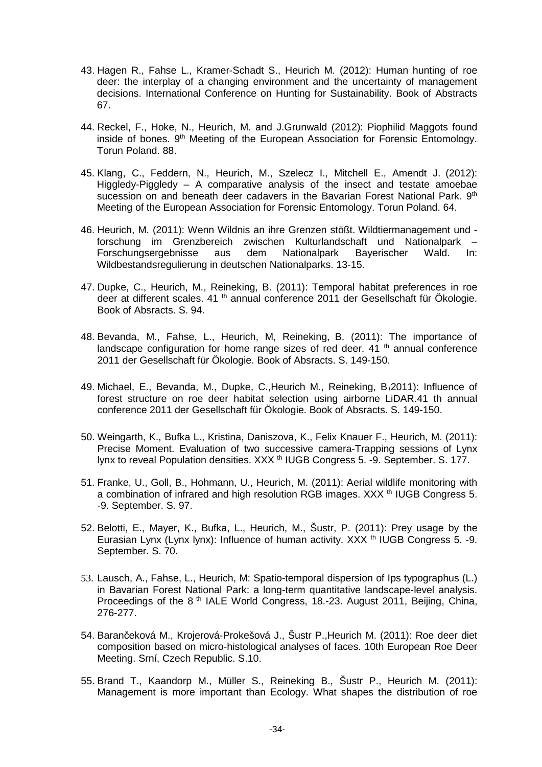- 43. Hagen R., Fahse L., Kramer-Schadt S., Heurich M. (2012): Human hunting of roe deer: the interplay of a changing environment and the uncertainty of management decisions. International Conference on Hunting for Sustainability. Book of Abstracts 67.
- 44. Reckel, F., Hoke, N., Heurich, M. and J.Grunwald (2012): Piophilid Maggots found inside of bones. 9<sup>th</sup> Meeting of the European Association for Forensic Entomology. Torun Poland. 88.
- 45. Klang, C., Feddern, N., Heurich, M., Szelecz I., Mitchell E., Amendt J. (2012): Higgledy-Piggledy – A comparative analysis of the insect and testate amoebae sucession on and beneath deer cadavers in the Bavarian Forest National Park. 9th Meeting of the European Association for Forensic Entomology. Torun Poland. 64.
- 46. Heurich, M. (2011): Wenn Wildnis an ihre Grenzen stößt. Wildtiermanagement und forschung im Grenzbereich zwischen Kulturlandschaft und Nationalpark – Forschungsergebnisse aus dem Nationalpark Bayerischer Wald. In: Wildbestandsregulierung in deutschen Nationalparks. 13-15.
- 47. Dupke, C., Heurich, M., Reineking, B. (2011): Temporal habitat preferences in roe deer at different scales. 41 <sup>th</sup> annual conference 2011 der Gesellschaft für Ökologie. Book of Absracts. S. 94.
- 48. Bevanda, M., Fahse, L., Heurich, M, Reineking, B. (2011): The importance of landscape configuration for home range sizes of red deer.  $41$ <sup>th</sup> annual conference 2011 der Gesellschaft für Ökologie. Book of Absracts. S. 149-150.
- 49. Michael, E., Bevanda, M., Dupke, C.,Heurich M., Reineking, B.(2011): Influence of forest structure on roe deer habitat selection using airborne LiDAR.41 th annual conference 2011 der Gesellschaft für Ökologie. Book of Absracts. S. 149-150.
- 50. Weingarth, K., Bufka L., Kristina, Daniszova, K., Felix Knauer F., Heurich, M. (2011): Precise Moment. Evaluation of two successive camera-Trapping sessions of Lynx lynx to reveal Population densities. XXX<sup>th</sup> IUGB Congress 5. -9. September. S. 177.
- 51. Franke, U., Goll, B., Hohmann, U., Heurich, M. (2011): Aerial wildlife monitoring with a combination of infrared and high resolution RGB images. XXX <sup>th</sup> IUGB Congress 5. -9. September. S. 97.
- 52. Belotti, E., Mayer, K., Bufka, L., Heurich, M., Šustr, P. (2011): Prey usage by the Eurasian Lynx (Lynx lynx): Influence of human activity. XXX  $<sup>th</sup>$  IUGB Congress 5. -9.</sup> September. S. 70.
- 53. Lausch, A., Fahse, L., Heurich, M: Spatio-temporal dispersion of Ips typographus (L.) in Bavarian Forest National Park: a long-term quantitative landscape-level analysis. Proceedings of the 8<sup>th</sup> IALE World Congress, 18.-23. August 2011, Beijing, China, 276-277.
- 54. Barančeková M., Krojerová-Prokešová J., Šustr P.,Heurich M. (2011): Roe deer diet composition based on micro-histological analyses of faces. 10th European Roe Deer Meeting. Srní, Czech Republic. S.10.
- 55. Brand T., Kaandorp M., Müller S., Reineking B., Šustr P., Heurich M. (2011): Management is more important than Ecology. What shapes the distribution of roe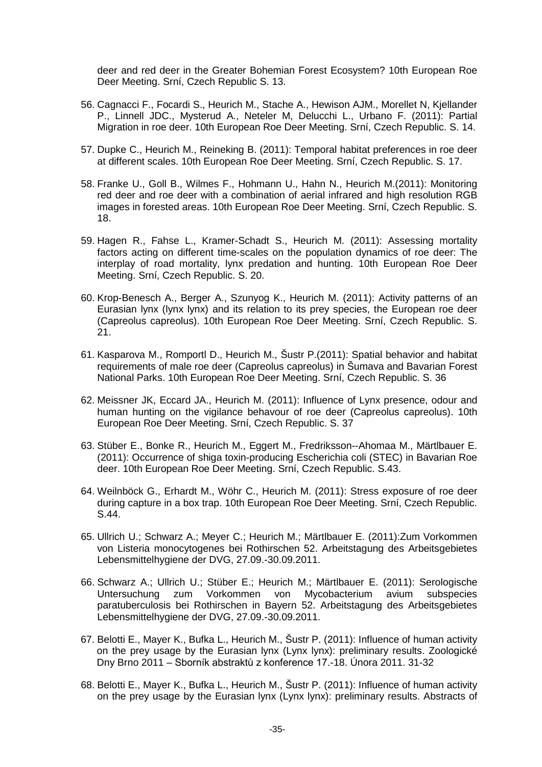deer and red deer in the Greater Bohemian Forest Ecosystem? 10th European Roe Deer Meeting. Srní, Czech Republic S. 13.

- 56. Cagnacci F., Focardi S., Heurich M., Stache A., Hewison AJM., Morellet N, Kjellander P., Linnell JDC., Mysterud A., Neteler M, Delucchi L., Urbano F. (2011): Partial Migration in roe deer. 10th European Roe Deer Meeting. Srní, Czech Republic. S. 14.
- 57. Dupke C., Heurich M., Reineking B. (2011): Temporal habitat preferences in roe deer at different scales. 10th European Roe Deer Meeting. Srní, Czech Republic. S. 17.
- 58. Franke U., Goll B., Wilmes F., Hohmann U., Hahn N., Heurich M.(2011): Monitoring red deer and roe deer with a combination of aerial infrared and high resolution RGB images in forested areas. 10th European Roe Deer Meeting. Srní, Czech Republic. S. 18.
- 59. Hagen R., Fahse L., Kramer-Schadt S., Heurich M. (2011): Assessing mortality factors acting on different time-scales on the population dynamics of roe deer: The interplay of road mortality, lynx predation and hunting. 10th European Roe Deer Meeting. Srní, Czech Republic. S. 20.
- 60. Krop-Benesch A., Berger A., Szunyog K., Heurich M. (2011): Activity patterns of an Eurasian lynx (lynx lynx) and its relation to its prey species, the European roe deer (Capreolus capreolus). 10th European Roe Deer Meeting. Srní, Czech Republic. S. 21.
- 61. Kasparova M., Romportl D., Heurich M., Šustr P.(2011): Spatial behavior and habitat requirements of male roe deer (Capreolus capreolus) in Šumava and Bavarian Forest National Parks. 10th European Roe Deer Meeting. Srní, Czech Republic. S. 36
- 62. Meissner JK, Eccard JA., Heurich M. (2011): Influence of Lynx presence, odour and human hunting on the vigilance behavour of roe deer (Capreolus capreolus). 10th European Roe Deer Meeting. Srní, Czech Republic. S. 37
- 63. Stüber E., Bonke R., Heurich M., Eggert M., Fredriksson--Ahomaa M., Märtlbauer E. (2011): Occurrence of shiga toxin-producing Escherichia coli (STEC) in Bavarian Roe deer. 10th European Roe Deer Meeting. Srní, Czech Republic. S.43.
- 64. Weilnböck G., Erhardt M., Wöhr C., Heurich M. (2011): Stress exposure of roe deer during capture in a box trap. 10th European Roe Deer Meeting. Srní, Czech Republic. S.44.
- 65. Ullrich U.; Schwarz A.; Meyer C.; Heurich M.; Märtlbauer E. (2011):Zum Vorkommen von Listeria monocytogenes bei Rothirschen 52. Arbeitstagung des Arbeitsgebietes Lebensmittelhygiene der DVG, 27.09.-30.09.2011.
- 66. Schwarz A.; Ullrich U.; Stüber E.; Heurich M.; Märtlbauer E. (2011): Serologische Untersuchung zum Vorkommen von Mycobacterium avium subspecies paratuberculosis bei Rothirschen in Bayern 52. Arbeitstagung des Arbeitsgebietes Lebensmittelhygiene der DVG, 27.09.-30.09.2011.
- 67. Belotti E., Mayer K., Bufka L., Heurich M., Šustr P. (2011): Influence of human activity on the prey usage by the Eurasian lynx (Lynx lynx): preliminary results. Zoologické Dny Brno 2011 – Sborník abstraktů z konference 17.-18. Února 2011. 31-32
- 68. Belotti E., Mayer K., Bufka L., Heurich M., Šustr P. (2011): Influence of human activity on the prey usage by the Eurasian lynx (Lynx lynx): preliminary results. Abstracts of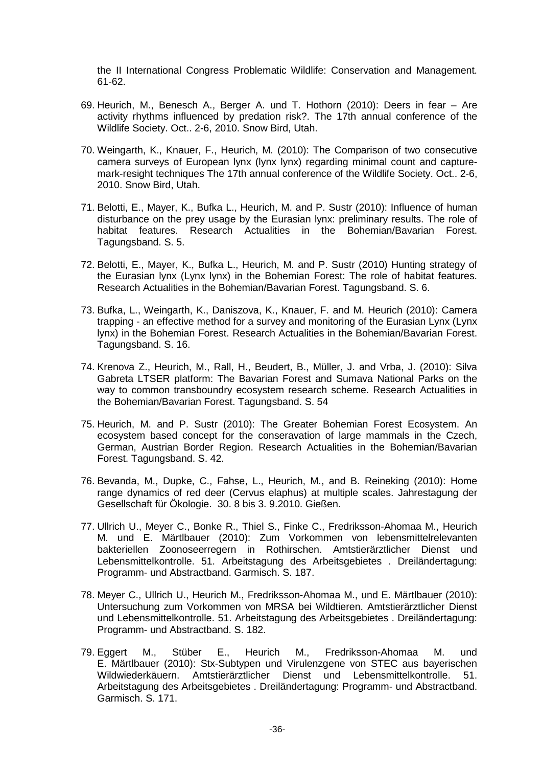the II International Congress Problematic Wildlife: Conservation and Management. 61-62.

- 69. Heurich, M., Benesch A., Berger A. und T. Hothorn (2010): Deers in fear Are activity rhythms influenced by predation risk?. The 17th annual conference of the Wildlife Society. Oct.. 2-6, 2010. Snow Bird, Utah.
- 70. Weingarth, K., Knauer, F., Heurich, M. (2010): The Comparison of two consecutive camera surveys of European lynx (lynx lynx) regarding minimal count and capturemark-resight techniques The 17th annual conference of the Wildlife Society. Oct.. 2-6, 2010. Snow Bird, Utah.
- 71. Belotti, E., Mayer, K., Bufka L., Heurich, M. and P. Sustr (2010): Influence of human disturbance on the prey usage by the Eurasian lynx: preliminary results. The role of habitat features. Research Actualities in the Bohemian/Bavarian Forest. Tagungsband. S. 5.
- 72. Belotti, E., Mayer, K., Bufka L., Heurich, M. and P. Sustr (2010) Hunting strategy of the Eurasian lynx (Lynx lynx) in the Bohemian Forest: The role of habitat features. Research Actualities in the Bohemian/Bavarian Forest. Tagungsband. S. 6.
- 73. Bufka, L., Weingarth, K., Daniszova, K., Knauer, F. and M. Heurich (2010): Camera trapping - an effective method for a survey and monitoring of the Eurasian Lynx (Lynx lynx) in the Bohemian Forest. Research Actualities in the Bohemian/Bavarian Forest. Tagungsband. S. 16.
- 74. Krenova Z., Heurich, M., Rall, H., Beudert, B., Müller, J. and Vrba, J. (2010): Silva Gabreta LTSER platform: The Bavarian Forest and Sumava National Parks on the way to common transboundry ecosystem research scheme. Research Actualities in the Bohemian/Bavarian Forest. Tagungsband. S. 54
- 75. Heurich, M. and P. Sustr (2010): The Greater Bohemian Forest Ecosystem. An ecosystem based concept for the conseravation of large mammals in the Czech, German, Austrian Border Region. Research Actualities in the Bohemian/Bavarian Forest. Tagungsband. S. 42.
- 76. Bevanda, M., Dupke, C., Fahse, L., Heurich, M., and B. Reineking (2010): Home range dynamics of red deer (Cervus elaphus) at multiple scales. Jahrestagung der Gesellschaft für Ökologie. 30. 8 bis 3. 9.2010. Gießen.
- 77. Ullrich U., Meyer C., Bonke R., Thiel S., Finke C., Fredriksson-Ahomaa M., Heurich M. und E. Märtlbauer (2010): Zum Vorkommen von lebensmittelrelevanten bakteriellen Zoonoseerregern in Rothirschen. Amtstierärztlicher Dienst und Lebensmittelkontrolle. 51. Arbeitstagung des Arbeitsgebietes . Dreiländertagung: Programm- und Abstractband. Garmisch. S. 187.
- 78. Meyer C., Ullrich U., Heurich M., Fredriksson-Ahomaa M., und E. Märtlbauer (2010): Untersuchung zum Vorkommen von MRSA bei Wildtieren. Amtstierärztlicher Dienst und Lebensmittelkontrolle. 51. Arbeitstagung des Arbeitsgebietes . Dreiländertagung: Programm- und Abstractband. S. 182.
- 79. Eggert M., Stüber E., Heurich M., Fredriksson-Ahomaa M. und E. Märtlbauer (2010): Stx-Subtypen und Virulenzgene von STEC aus bayerischen Wildwiederkäuern. Amtstierärztlicher Dienst und Lebensmittelkontrolle. 51. Arbeitstagung des Arbeitsgebietes . Dreiländertagung: Programm- und Abstractband. Garmisch. S. 171.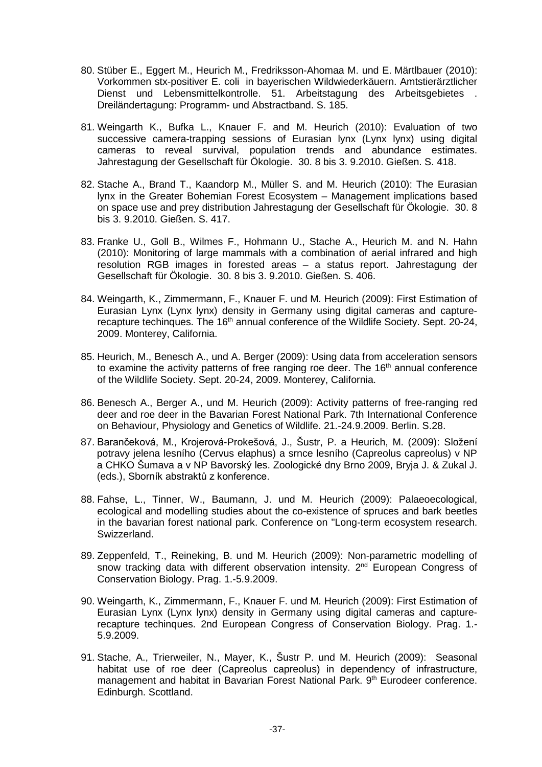- 80. Stüber E., Eggert M., Heurich M., Fredriksson-Ahomaa M. und E. Märtlbauer (2010): Vorkommen stx-positiver E. coli in bayerischen Wildwiederkäuern. Amtstierärztlicher Dienst und Lebensmittelkontrolle. 51. Arbeitstagung des Arbeitsgebietes . Dreiländertagung: Programm- und Abstractband. S. 185.
- 81. Weingarth K., Bufka L., Knauer F. and M. Heurich (2010): Evaluation of two successive camera-trapping sessions of Eurasian lynx (Lynx lynx) using digital cameras to reveal survival, population trends and abundance estimates. Jahrestagung der Gesellschaft für Ökologie. 30. 8 bis 3. 9.2010. Gießen. S. 418.
- 82. Stache A., Brand T., Kaandorp M., Müller S. and M. Heurich (2010): The Eurasian lynx in the Greater Bohemian Forest Ecosystem – Management implications based on space use and prey distribution Jahrestagung der Gesellschaft für Ökologie. 30. 8 bis 3. 9.2010. Gießen. S. 417.
- 83. Franke U., Goll B., Wilmes F., Hohmann U., Stache A., Heurich M. and N. Hahn (2010): Monitoring of large mammals with a combination of aerial infrared and high resolution RGB images in forested areas – a status report. Jahrestagung der Gesellschaft für Ökologie. 30. 8 bis 3. 9.2010. Gießen. S. 406.
- 84. Weingarth, K., Zimmermann, F., Knauer F. und M. Heurich (2009): First Estimation of Eurasian Lynx (Lynx lynx) density in Germany using digital cameras and capturerecapture techinques. The 16<sup>th</sup> annual conference of the Wildlife Society. Sept. 20-24, 2009. Monterey, California.
- 85. Heurich, M., Benesch A., und A. Berger (2009): Using data from acceleration sensors to examine the activity patterns of free ranging roe deer. The 16<sup>th</sup> annual conference of the Wildlife Society. Sept. 20-24, 2009. Monterey, California.
- 86. Benesch A., Berger A., und M. Heurich (2009): Activity patterns of free-ranging red deer and roe deer in the Bavarian Forest National Park. 7th International Conference on Behaviour, Physiology and Genetics of Wildlife. 21.-24.9.2009. Berlin. S.28.
- 87. Barančeková, M., Krojerová-Prokešová, J., Šustr, P. a Heurich, M. (2009): Složení potravy jelena lesního (Cervus elaphus) a srnce lesního (Capreolus capreolus) v NP a CHKO Šumava a v NP Bavorský les. Zoologické dny Brno 2009, Bryja J. & Zukal J. (eds.), Sborník abstraktů z konference.
- 88. Fahse, L., Tinner, W., Baumann, J. und M. Heurich (2009): Palaeoecological, ecological and modelling studies about the co-existence of spruces and bark beetles in the bavarian forest national park. Conference on "Long-term ecosystem research. Swizzerland.
- 89. Zeppenfeld, T., Reineking, B. und M. Heurich (2009): Non-parametric modelling of snow tracking data with different observation intensity. 2<sup>nd</sup> European Congress of Conservation Biology. Prag. 1.-5.9.2009.
- 90. Weingarth, K., Zimmermann, F., Knauer F. und M. Heurich (2009): First Estimation of Eurasian Lynx (Lynx lynx) density in Germany using digital cameras and capturerecapture techinques. 2nd European Congress of Conservation Biology. Prag. 1.- 5.9.2009.
- 91. Stache, A., Trierweiler, N., Mayer, K., Šustr P. und M. Heurich (2009): Seasonal habitat use of roe deer (Capreolus capreolus) in dependency of infrastructure, management and habitat in Bavarian Forest National Park. 9<sup>th</sup> Eurodeer conference. Edinburgh. Scottland.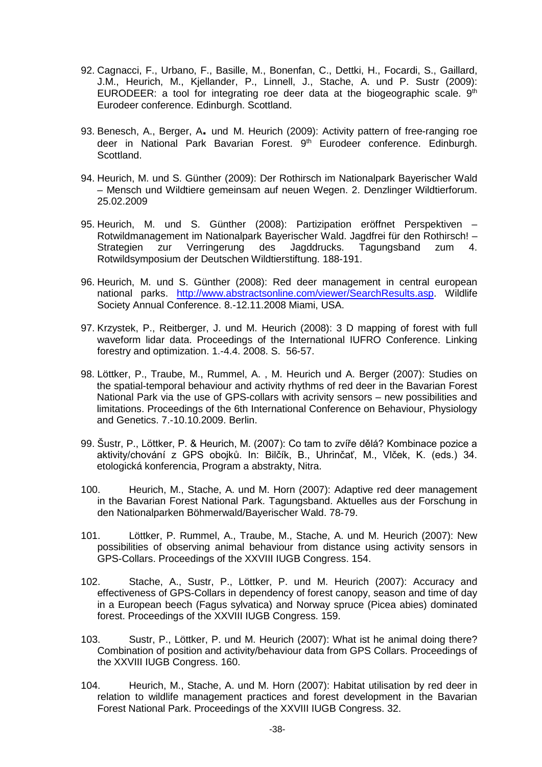- 92. Cagnacci, F., Urbano, F., Basille, M., Bonenfan, C., Dettki, H., Focardi, S., Gaillard, J.M., Heurich, M., Kjellander, P., Linnell, J., Stache, A. und P. Sustr (2009): EURODEER: a tool for integrating roe deer data at the biogeographic scale.  $9<sup>th</sup>$ Eurodeer conference. Edinburgh. Scottland.
- 93. Benesch, A., Berger, A**.** und M. Heurich (2009): Activity pattern of free-ranging roe deer in National Park Bavarian Forest. 9<sup>th</sup> Eurodeer conference. Edinburgh. Scottland.
- 94. Heurich, M. und S. Günther (2009): Der Rothirsch im Nationalpark Bayerischer Wald – Mensch und Wildtiere gemeinsam auf neuen Wegen. 2. Denzlinger Wildtierforum. 25.02.2009
- 95. Heurich, M. und S. Günther (2008): Partizipation eröffnet Perspektiven Rotwildmanagement im Nationalpark Bayerischer Wald. Jagdfrei für den Rothirsch! –<br>Strategien zur Verringerung des Jagddrucks. Tagungsband zum 4. Strategien zur Verringerung des Jagddrucks. Tagungsband zum 4. Rotwildsymposium der Deutschen Wildtierstiftung. 188-191.
- 96. Heurich, M. und S. Günther (2008): Red deer management in central european national parks. [http://www.abstractsonline.com/viewer/SearchResults.asp.](http://www.abstractsonline.com/viewer/SearchResults.asp) Wildlife Society Annual Conference. 8.-12.11.2008 Miami, USA.
- 97. Krzystek, P., Reitberger, J. und M. Heurich (2008): 3 D mapping of forest with full waveform lidar data. Proceedings of the International IUFRO Conference. Linking forestry and optimization. 1.-4.4. 2008. S. 56-57.
- 98. Löttker, P., Traube, M., Rummel, A. , M. Heurich und A. Berger (2007): Studies on the spatial-temporal behaviour and activity rhythms of red deer in the Bavarian Forest National Park via the use of GPS-collars with acrivity sensors – new possibilities and limitations. Proceedings of the 6th International Conference on Behaviour, Physiology and Genetics. 7.-10.10.2009. Berlin.
- 99. Šustr, P., Löttker, P. & Heurich, M. (2007): Co tam to zvíře dělá? Kombinace pozice a aktivity/chování z GPS obojků. In: Bilčík, B., Uhrinčať, M., Vlček, K. (eds.) 34. etologická konferencia, Program a abstrakty, Nitra.
- 100. Heurich, M., Stache, A. und M. Horn (2007): Adaptive red deer management in the Bavarian Forest National Park. Tagungsband. Aktuelles aus der Forschung in den Nationalparken Böhmerwald/Bayerischer Wald. 78-79.
- 101. Löttker, P. Rummel, A., Traube, M., Stache, A. und M. Heurich (2007): New possibilities of observing animal behaviour from distance using activity sensors in GPS-Collars. Proceedings of the XXVIII IUGB Congress. 154.
- 102. Stache, A., Sustr, P., Löttker, P. und M. Heurich (2007): Accuracy and effectiveness of GPS-Collars in dependency of forest canopy, season and time of day in a European beech (Fagus sylvatica) and Norway spruce (Picea abies) dominated forest. Proceedings of the XXVIII IUGB Congress. 159.
- 103. Sustr, P., Löttker, P. und M. Heurich (2007): What ist he animal doing there? Combination of position and activity/behaviour data from GPS Collars. Proceedings of the XXVIII IUGB Congress. 160.
- 104. Heurich, M., Stache, A. und M. Horn (2007): Habitat utilisation by red deer in relation to wildlife management practices and forest development in the Bavarian Forest National Park. Proceedings of the XXVIII IUGB Congress. 32.